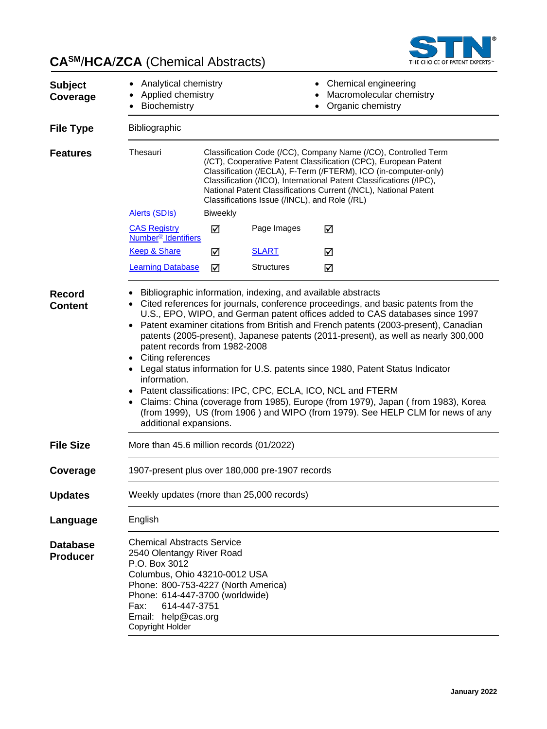

# **CASM**/**HCA**/**ZCA** (Chemical Abstracts)

| <b>Subject</b><br>Coverage         | Analytical chemistry<br>Applied chemistry<br>Biochemistry                                                                                                                                                                                                                                                                                                                                                                                                                                                                                                                                                                                                                                                                                                                         |                 |                                               | Chemical engineering<br>Macromolecular chemistry<br>Organic chemistry                                                                                                                                                                                                                                                                          |
|------------------------------------|-----------------------------------------------------------------------------------------------------------------------------------------------------------------------------------------------------------------------------------------------------------------------------------------------------------------------------------------------------------------------------------------------------------------------------------------------------------------------------------------------------------------------------------------------------------------------------------------------------------------------------------------------------------------------------------------------------------------------------------------------------------------------------------|-----------------|-----------------------------------------------|------------------------------------------------------------------------------------------------------------------------------------------------------------------------------------------------------------------------------------------------------------------------------------------------------------------------------------------------|
| <b>File Type</b>                   | Bibliographic                                                                                                                                                                                                                                                                                                                                                                                                                                                                                                                                                                                                                                                                                                                                                                     |                 |                                               |                                                                                                                                                                                                                                                                                                                                                |
| <b>Features</b>                    | Thesauri                                                                                                                                                                                                                                                                                                                                                                                                                                                                                                                                                                                                                                                                                                                                                                          |                 | Classifications Issue (/INCL), and Role (/RL) | Classification Code (/CC), Company Name (/CO), Controlled Term<br>(/CT), Cooperative Patent Classification (CPC), European Patent<br>Classification (/ECLA), F-Term (/FTERM), ICO (in-computer-only)<br>Classification (/ICO), International Patent Classifications (/IPC),<br>National Patent Classifications Current (/NCL), National Patent |
|                                    | <b>Alerts (SDIs)</b>                                                                                                                                                                                                                                                                                                                                                                                                                                                                                                                                                                                                                                                                                                                                                              | <b>Biweekly</b> |                                               |                                                                                                                                                                                                                                                                                                                                                |
|                                    | <b>CAS Registry</b><br>Number <sup>®</sup> Identifiers                                                                                                                                                                                                                                                                                                                                                                                                                                                                                                                                                                                                                                                                                                                            | ☑               | Page Images                                   | ☑                                                                                                                                                                                                                                                                                                                                              |
|                                    | <b>Keep &amp; Share</b>                                                                                                                                                                                                                                                                                                                                                                                                                                                                                                                                                                                                                                                                                                                                                           | ☑               | <b>SLART</b>                                  | ☑                                                                                                                                                                                                                                                                                                                                              |
|                                    | <b>Learning Database</b>                                                                                                                                                                                                                                                                                                                                                                                                                                                                                                                                                                                                                                                                                                                                                          | ☑               | <b>Structures</b>                             | ☑                                                                                                                                                                                                                                                                                                                                              |
| <b>Content</b>                     | Cited references for journals, conference proceedings, and basic patents from the<br>U.S., EPO, WIPO, and German patent offices added to CAS databases since 1997<br>Patent examiner citations from British and French patents (2003-present), Canadian<br>$\bullet$<br>patents (2005-present), Japanese patents (2011-present), as well as nearly 300,000<br>patent records from 1982-2008<br>Citing references<br>• Legal status information for U.S. patents since 1980, Patent Status Indicator<br>information.<br>Patent classifications: IPC, CPC, ECLA, ICO, NCL and FTERM<br>Claims: China (coverage from 1985), Europe (from 1979), Japan (from 1983), Korea<br>(from 1999), US (from 1906) and WIPO (from 1979). See HELP CLM for news of any<br>additional expansions. |                 |                                               |                                                                                                                                                                                                                                                                                                                                                |
| <b>File Size</b>                   | More than 45.6 million records (01/2022)                                                                                                                                                                                                                                                                                                                                                                                                                                                                                                                                                                                                                                                                                                                                          |                 |                                               |                                                                                                                                                                                                                                                                                                                                                |
| Coverage                           | 1907-present plus over 180,000 pre-1907 records                                                                                                                                                                                                                                                                                                                                                                                                                                                                                                                                                                                                                                                                                                                                   |                 |                                               |                                                                                                                                                                                                                                                                                                                                                |
| <b>Updates</b>                     | Weekly updates (more than 25,000 records)                                                                                                                                                                                                                                                                                                                                                                                                                                                                                                                                                                                                                                                                                                                                         |                 |                                               |                                                                                                                                                                                                                                                                                                                                                |
| Language                           | English                                                                                                                                                                                                                                                                                                                                                                                                                                                                                                                                                                                                                                                                                                                                                                           |                 |                                               |                                                                                                                                                                                                                                                                                                                                                |
| <b>Database</b><br><b>Producer</b> | <b>Chemical Abstracts Service</b><br>2540 Olentangy River Road<br>P.O. Box 3012<br>Columbus, Ohio 43210-0012 USA<br>Phone: 800-753-4227 (North America)<br>Phone: 614-447-3700 (worldwide)<br>614-447-3751<br>Fax:<br>Email: help@cas.org<br><b>Copyright Holder</b>                                                                                                                                                                                                                                                                                                                                                                                                                                                                                                              |                 |                                               |                                                                                                                                                                                                                                                                                                                                                |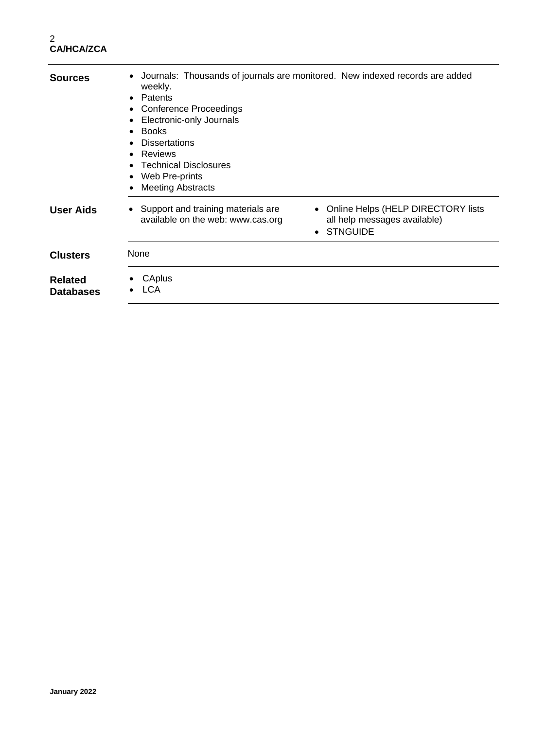| <b>Sources</b>                     | Journals: Thousands of journals are monitored. New indexed records are added<br>$\bullet$<br>weekly.<br>Patents<br>$\bullet$<br><b>Conference Proceedings</b><br>$\bullet$<br>Electronic-only Journals<br>$\bullet$<br>$\bullet$ Books<br><b>Dissertations</b><br><b>Reviews</b><br>$\bullet$<br><b>Technical Disclosures</b><br>$\bullet$<br>Web Pre-prints<br>$\bullet$<br><b>Meeting Abstracts</b> |
|------------------------------------|-------------------------------------------------------------------------------------------------------------------------------------------------------------------------------------------------------------------------------------------------------------------------------------------------------------------------------------------------------------------------------------------------------|
| <b>User Aids</b>                   | • Online Helps (HELP DIRECTORY lists<br>• Support and training materials are<br>all help messages available)<br>available on the web: www.cas.org<br><b>STNGUIDE</b>                                                                                                                                                                                                                                  |
| <b>Clusters</b>                    | None                                                                                                                                                                                                                                                                                                                                                                                                  |
| <b>Related</b><br><b>Databases</b> | CAplus<br><b>LCA</b>                                                                                                                                                                                                                                                                                                                                                                                  |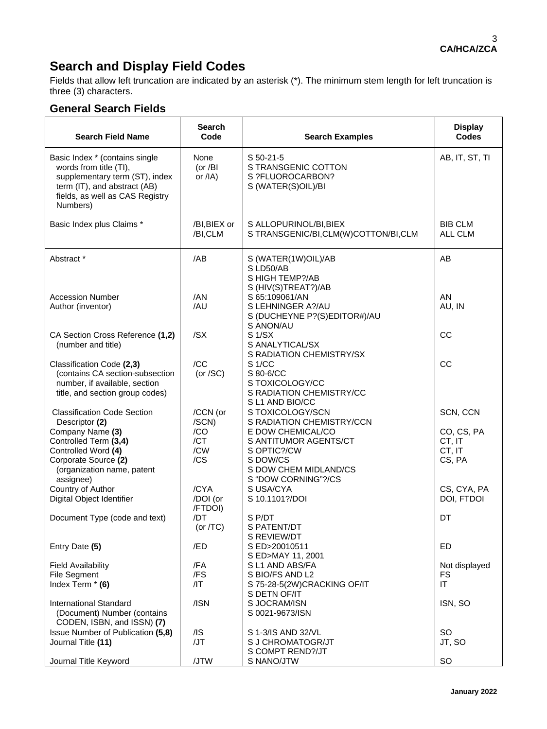# **Search and Display Field Codes**

Fields that allow left truncation are indicated by an asterisk (\*). The minimum stem length for left truncation is three (3) characters.

#### **General Search Fields**

| <b>Search Field Name</b>                                                                                                                                                  | <b>Search</b><br>Code            | <b>Search Examples</b>                                                                                                | <b>Display</b><br><b>Codes</b>           |
|---------------------------------------------------------------------------------------------------------------------------------------------------------------------------|----------------------------------|-----------------------------------------------------------------------------------------------------------------------|------------------------------------------|
| Basic Index * (contains single<br>words from title (TI),<br>supplementary term (ST), index<br>term (IT), and abstract (AB)<br>fields, as well as CAS Registry<br>Numbers) | None<br>(or / $BI$<br>or $/IA$ ) | S 50-21-5<br>S TRANSGENIC COTTON<br>S ?FLUOROCARBON?<br>S (WATER(S)OIL)/BI                                            | AB, IT, ST, TI                           |
| Basic Index plus Claims *                                                                                                                                                 | /BI, BIEX or<br>/BI,CLM          | S ALLOPURINOL/BI, BIEX<br>S TRANSGENIC/BI,CLM(W)COTTON/BI,CLM                                                         | <b>BIB CLM</b><br>ALL CLM                |
| Abstract *                                                                                                                                                                | /AB                              | S (WATER(1W)OIL)/AB<br>S LD50/AB<br>S HIGH TEMP?/AB<br>S (HIV(S)TREAT?)/AB                                            | AB                                       |
| <b>Accession Number</b><br>Author (inventor)                                                                                                                              | /AN<br>/AU                       | S 65:109061/AN<br>S LEHNINGER A?/AU<br>S (DUCHEYNE P?(S)EDITOR#)/AU<br>S ANON/AU                                      | AN<br>AU, IN                             |
| CA Section Cross Reference (1,2)<br>(number and title)                                                                                                                    | /SX                              | S <sub>1</sub> /SX<br>S ANALYTICAL/SX<br>S RADIATION CHEMISTRY/SX                                                     | CC                                       |
| Classification Code (2,3)<br>(contains CA section-subsection<br>number, if available, section<br>title, and section group codes)                                          | /CC<br>(or $/SC$ )               | S <sub>1</sub> /CC<br>S 80-6/CC<br>S TOXICOLOGY/CC<br>S RADIATION CHEMISTRY/CC<br>S L1 AND BIO/CC                     | CC                                       |
| <b>Classification Code Section</b><br>Descriptor (2)                                                                                                                      | /CCN (or<br>/SCN)                | S TOXICOLOGY/SCN<br>S RADIATION CHEMISTRY/CCN                                                                         | SCN, CCN                                 |
| Company Name (3)<br>Controlled Term (3,4)<br>Controlled Word (4)<br>Corporate Source (2)<br>(organization name, patent<br>assignee)                                       | /CO<br>/CT<br>/CW<br>/CS         | E DOW CHEMICAL/CO<br>S ANTITUMOR AGENTS/CT<br>S OPTIC?/CW<br>S DOW/CS<br>S DOW CHEM MIDLAND/CS<br>S "DOW CORNING"?/CS | CO, CS, PA<br>CT, IT<br>CT, IT<br>CS, PA |
| Country of Author<br>Digital Object Identifier                                                                                                                            | /CYA<br>/DOI (or<br>/FTDOI)      | S USA/CYA<br>S 10.1101?/DOI                                                                                           | CS, CYA, PA<br>DOI, FTDOI                |
| Document Type (code and text)                                                                                                                                             | /DT<br>(or $/TC$ )               | S P/DT<br>S PATENT/DT<br>S REVIEW/DT                                                                                  | DT                                       |
| Entry Date (5)                                                                                                                                                            | /ED                              | S ED>20010511<br>S ED>MAY 11, 2001                                                                                    | ED                                       |
| <b>Field Availability</b>                                                                                                                                                 | /FA                              | S L1 AND ABS/FA                                                                                                       | Not displayed                            |
| <b>File Segment</b><br>Index Term * (6)                                                                                                                                   | /FS<br>$/$  T                    | S BIO/FS AND L2<br>S 75-28-5(2W)CRACKING OF/IT                                                                        | FS<br>IT                                 |
| <b>International Standard</b><br>(Document) Number (contains<br>CODEN, ISBN, and ISSN) (7)                                                                                | /ISN                             | S DETN OF/IT<br>S JOCRAM/ISN<br>S 0021-9673/ISN                                                                       | ISN, SO                                  |
| Issue Number of Publication (5,8)<br>Journal Title (11)                                                                                                                   | /IS<br>/JT                       | S 1-3/IS AND 32/VL<br>S J CHROMATOGR/JT<br>S COMPT REND?/JT                                                           | <b>SO</b><br>JT, SO                      |
| Journal Title Keyword                                                                                                                                                     | /JTW                             | S NANO/JTW                                                                                                            | SO                                       |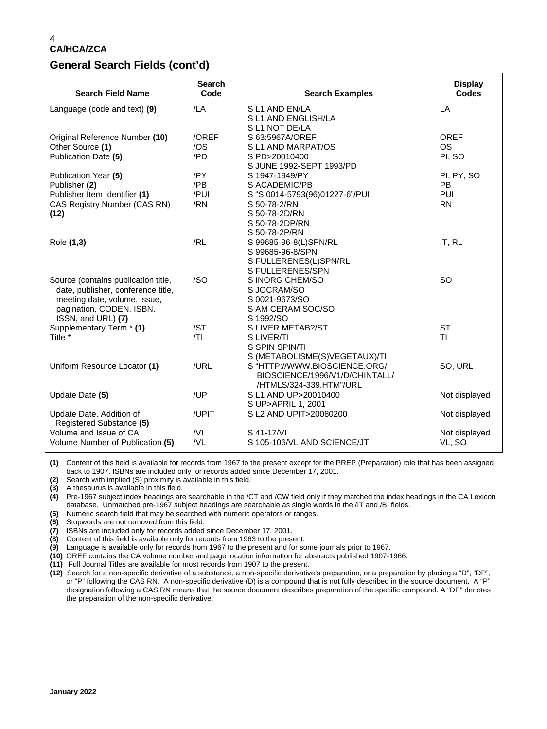#### **General Search Fields (cont'd)**

| <b>Search Field Name</b>            | <b>Search</b><br>Code | <b>Search Examples</b>                     | <b>Display</b><br><b>Codes</b> |
|-------------------------------------|-----------------------|--------------------------------------------|--------------------------------|
| Language (code and text) (9)        | /LA                   | SL1 AND EN/LA                              | LA                             |
|                                     |                       | S L1 AND ENGLISH/LA                        |                                |
|                                     |                       | S L1 NOT DE/LA                             |                                |
| Original Reference Number (10)      | /OREF                 | S 63:5967A/OREF                            | <b>OREF</b>                    |
| Other Source (1)                    | /OS                   | S L1 AND MARPAT/OS                         | <b>OS</b>                      |
| Publication Date (5)                | /PD                   | S PD>20010400                              | PI, SO                         |
|                                     |                       | S JUNE 1992-SEPT 1993/PD                   |                                |
| Publication Year (5)                | /PY                   | S 1947-1949/PY                             | PI, PY, SO                     |
| Publisher (2)                       | /PB                   | S ACADEMIC/PB                              | <b>PB</b>                      |
| Publisher Item Identifier (1)       | /PUI                  | S "S 0014-5793(96)01227-6"/PUI             | PUI                            |
| CAS Registry Number (CAS RN)        | /RN                   | S 50-78-2/RN                               | <b>RN</b>                      |
| (12)                                |                       | S 50-78-2D/RN                              |                                |
|                                     |                       | S 50-78-2DP/RN                             |                                |
|                                     |                       | S 50-78-2P/RN                              |                                |
| Role (1,3)                          | /RL                   | S 99685-96-8(L)SPN/RL                      | IT, RL                         |
|                                     |                       | S 99685-96-8/SPN                           |                                |
|                                     |                       | S FULLERENES(L)SPN/RL                      |                                |
|                                     |                       | S FULLERENES/SPN                           |                                |
| Source (contains publication title, | /SO                   | S INORG CHEM/SO                            | SO                             |
| date, publisher, conference title,  |                       | S JOCRAM/SO                                |                                |
| meeting date, volume, issue,        |                       | S 0021-9673/SO                             |                                |
| pagination, CODEN, ISBN,            |                       | S AM CERAM SOC/SO                          |                                |
| ISSN, and URL) (7)                  |                       | S 1992/SO                                  |                                |
| Supplementary Term * (1)            | /ST                   | S LIVER METAB?/ST                          | <b>ST</b>                      |
| Title *                             | T                     | S LIVER/TI                                 | ΤI                             |
|                                     |                       | S SPIN SPIN/TI                             |                                |
|                                     |                       | S (METABOLISME(S)VEGETAUX)/TI              |                                |
| Uniform Resource Locator (1)        | /URL                  | S "HTTP://WWW.BIOSCIENCE.ORG/              | SO, URL                        |
|                                     |                       | BIOSCIENCE/1996/V1/D/CHINTALL/             |                                |
|                                     | /UP                   | /HTMLS/324-339.HTM"/URL                    |                                |
| Update Date (5)                     |                       | S L1 AND UP>20010400<br>S UP>APRIL 1, 2001 | Not displayed                  |
| Update Date, Addition of            | /UPIT                 | S L2 AND UPIT>20080200                     | Not displayed                  |
| Registered Substance (5)            |                       |                                            |                                |
| Volume and Issue of CA              | N <sub>l</sub>        | S 41-17/VI                                 | Not displayed                  |
| Volume Number of Publication (5)    | N <sub>L</sub>        | S 105-106/VL AND SCIENCE/JT                | VL, SO                         |
|                                     |                       |                                            |                                |

**(1)** Content of this field is available for records from 1967 to the present except for the PREP (Preparation) role that has been assigned back to 1907. ISBNs are included only for records added since December 17, 2001.

**(2)** Search with implied (S) proximity is available in this field.

**(3)** A thesaurus is available in this field.

**(4)** Pre-1967 subject index headings are searchable in the /CT and /CW field only if they matched the index headings in the CA Lexicon database. Unmatched pre-1967 subject headings are searchable as single words in the /IT and /BI fields.

**(5)** Numeric search field that may be searched with numeric operators or ranges.

**(6)** Stopwords are not removed from this field.

**(7)** ISBNs are included only for records added since December 17, 2001.

- **(8)** Content of this field is available only for records from 1963 to the present.
- **(9)** Language is available only for records from 1967 to the present and for some journals prior to 1967.

**(10)** OREF contains the CA volume number and page location information for abstracts published 1907-1966.

**(11)** Full Journal Titles are available for most records from 1907 to the present.

**<sup>(12)</sup>** Search for a non-specific derivative of a substance, a non-specific derivative's preparation, or a preparation by placing a "D", "DP", or "P" following the CAS RN. A non-specific derivative (D) is a compound that is not fully described in the source document. A "P" designation following a CAS RN means that the source document describes preparation of the specific compound. A "DP" denotes the preparation of the non-specific derivative.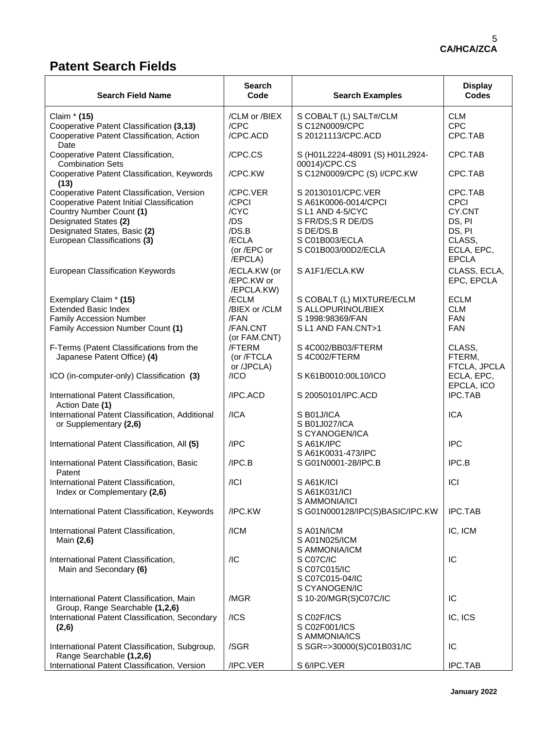# **Patent Search Fields**

| <b>Search Field Name</b>                                                     | <b>Search</b><br>Code      | <b>Search Examples</b>                           | <b>Display</b><br><b>Codes</b> |
|------------------------------------------------------------------------------|----------------------------|--------------------------------------------------|--------------------------------|
| Claim * (15)                                                                 | /CLM or /BIEX              | S COBALT (L) SALT#/CLM                           | <b>CLM</b>                     |
| Cooperative Patent Classification (3,13)                                     | /CPC                       | S C12N0009/CPC                                   | <b>CPC</b>                     |
| Cooperative Patent Classification, Action<br>Date                            | /CPC.ACD                   | S 20121113/CPC.ACD                               | CPC.TAB                        |
| Cooperative Patent Classification,<br><b>Combination Sets</b>                | /CPC.CS                    | S (H01L2224-48091 (S) H01L2924-<br>00014)/CPC.CS | CPC.TAB                        |
| Cooperative Patent Classification, Keywords<br>(13)                          | /CPC.KW                    | S C12N0009/CPC (S) I/CPC.KW                      | CPC.TAB                        |
| Cooperative Patent Classification, Version                                   | /CPC.VER                   | S 20130101/CPC.VER                               | CPC.TAB                        |
| Cooperative Patent Initial Classification                                    | /CPCI<br>/CYC              | S A61K0006-0014/CPCI                             | <b>CPCI</b><br>CY.CNT          |
| Country Number Count (1)<br>Designated States (2)                            | /DS                        | S L1 AND 4-5/CYC<br>S FR/DS;S R DE/DS            | DS, PI                         |
| Designated States, Basic (2)                                                 | /DS.B                      | S DE/DS.B                                        | DS, PI                         |
| European Classifications (3)                                                 | /ECLA                      | S C01B003/ECLA                                   | CLASS,                         |
|                                                                              | (or /EPC or<br>/EPCLA)     | S C01B003/00D2/ECLA                              | ECLA, EPC,<br><b>EPCLA</b>     |
| <b>European Classification Keywords</b>                                      | /ECLA.KW (or<br>/EPC.KW or | S A1F1/ECLA.KW                                   | CLASS, ECLA,<br>EPC, EPCLA     |
| Exemplary Claim * (15)                                                       | /EPCLA.KW)<br>/ECLM        | S COBALT (L) MIXTURE/ECLM                        | <b>ECLM</b>                    |
| <b>Extended Basic Index</b>                                                  | /BIEX or /CLM              | S ALLOPURINOL/BIEX                               | <b>CLM</b>                     |
| <b>Family Accession Number</b>                                               | /FAN                       | S 1998:98369/FAN                                 | <b>FAN</b>                     |
| Family Accession Number Count (1)                                            | /FAN.CNT                   | S L1 AND FAN.CNT>1                               | <b>FAN</b>                     |
| F-Terms (Patent Classifications from the                                     | (or FAM.CNT)<br>/FTERM     | S 4C002/BB03/FTERM                               | CLASS,                         |
| Japanese Patent Office) (4)                                                  | (or /FTCLA                 | S 4C002/FTERM                                    | FTERM,                         |
|                                                                              | or /JPCLA)                 |                                                  | FTCLA, JPCLA                   |
| ICO (in-computer-only) Classification (3)                                    | /ICO                       | S K61B0010:00L10/ICO                             | ECLA, EPC,<br>EPCLA, ICO       |
| International Patent Classification,<br>Action Date (1)                      | /IPC.ACD                   | S 20050101/IPC.ACD                               | <b>IPC.TAB</b>                 |
| International Patent Classification, Additional                              | /ICA                       | S B01J/ICA                                       | <b>ICA</b>                     |
| or Supplementary (2,6)                                                       |                            | S B01J027/ICA                                    |                                |
| International Patent Classification, All (5)                                 | /IPC                       | S CYANOGEN/ICA<br>SA61K/IPC                      | <b>IPC</b>                     |
|                                                                              |                            | S A61K0031-473/IPC                               |                                |
| International Patent Classification, Basic<br>Patent                         | /IPC.B                     | S G01N0001-28/IPC.B                              | IPC.B                          |
| International Patent Classification,                                         | /ICI                       | SA61K/ICI                                        | ICI                            |
| Index or Complementary (2,6)                                                 |                            | S A61K031/ICI                                    |                                |
| International Patent Classification, Keywords                                | /IPC.KW                    | S AMMONIA/ICI<br>S G01N000128/IPC(S)BASIC/IPC.KW | <b>IPC.TAB</b>                 |
| International Patent Classification,                                         | /ICM                       | S A01N/ICM                                       | IC, ICM                        |
| Main (2,6)                                                                   |                            | S A01N025/ICM<br>S AMMONIA/ICM                   |                                |
| International Patent Classification,                                         | /IC                        | S C07C/IC                                        | IC                             |
| Main and Secondary (6)                                                       |                            | S C07C015/IC                                     |                                |
|                                                                              |                            | S C07C015-04/IC                                  |                                |
|                                                                              |                            | S CYANOGEN/IC                                    |                                |
| International Patent Classification, Main<br>Group, Range Searchable (1,2,6) | /MGR                       | S 10-20/MGR(S)C07C/IC                            | IC                             |
| International Patent Classification, Secondary                               | /ICS                       | S C02F/ICS                                       | IC, ICS                        |
| (2,6)                                                                        |                            | S C02F001/ICS                                    |                                |
|                                                                              |                            | S AMMONIA/ICS                                    |                                |
| International Patent Classification, Subgroup,<br>Range Searchable (1,2,6)   | /SGR                       | S SGR=>30000(S)C01B031/IC                        | IС                             |
| International Patent Classification, Version                                 | /IPC.VER                   | S 6/IPC.VER                                      | <b>IPC.TAB</b>                 |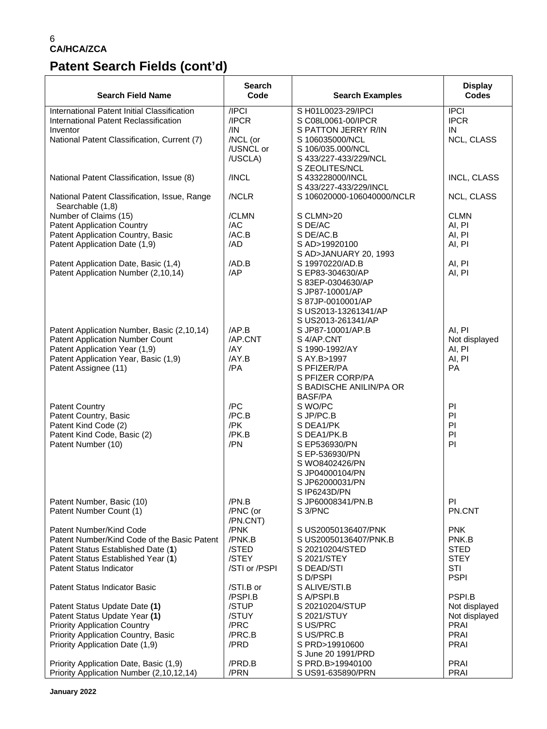# **Patent Search Fields (cont'd)**

| <b>Search Field Name</b>                                                    | Search<br>Code        | <b>Search Examples</b>                     | <b>Display</b><br><b>Codes</b> |
|-----------------------------------------------------------------------------|-----------------------|--------------------------------------------|--------------------------------|
| International Patent Initial Classification                                 | /IPCI                 | S H01L0023-29/IPCI                         | <b>IPCI</b>                    |
| International Patent Reclassification                                       | /IPCR                 | S C08L0061-00/IPCR                         | <b>IPCR</b>                    |
| Inventor                                                                    | /IN                   | S PATTON JERRY R/IN                        | IN                             |
| National Patent Classification, Current (7)                                 | /NCL (or<br>/USNCL or | S 106035000/NCL                            | NCL, CLASS                     |
|                                                                             | /USCLA)               | S 106/035.000/NCL<br>S 433/227-433/229/NCL |                                |
|                                                                             |                       | S ZEOLITES/NCL                             |                                |
| National Patent Classification, Issue (8)                                   | /INCL                 | S 433228000/INCL                           | <b>INCL, CLASS</b>             |
|                                                                             |                       | S 433/227-433/229/INCL                     |                                |
| National Patent Classification, Issue, Range<br>Searchable (1,8)            | /NCLR                 | S 106020000-106040000/NCLR                 | NCL, CLASS                     |
| Number of Claims (15)                                                       | /CLMN                 | S CLMN>20                                  | <b>CLMN</b>                    |
| <b>Patent Application Country</b>                                           | /AC                   | S DE/AC                                    | AI, PI                         |
| Patent Application Country, Basic                                           | /AC.B                 | S DE/AC.B                                  | AI, PI                         |
| Patent Application Date (1,9)                                               | /AD                   | S AD>19920100                              | AI, PI                         |
|                                                                             | /AD.B                 | S AD>JANUARY 20, 1993<br>S 19970220/AD.B   |                                |
| Patent Application Date, Basic (1,4)<br>Patent Application Number (2,10,14) | /AP                   | S EP83-304630/AP                           | AI, PI<br>AI, PI               |
|                                                                             |                       | S 83EP-0304630/AP                          |                                |
|                                                                             |                       | S JP87-10001/AP                            |                                |
|                                                                             |                       | S 87JP-0010001/AP                          |                                |
|                                                                             |                       | S US2013-13261341/AP                       |                                |
|                                                                             |                       | S US2013-261341/AP                         |                                |
| Patent Application Number, Basic (2,10,14)                                  | AP.B                  | S JP87-10001/AP.B                          | AI, PI                         |
| Patent Application Number Count                                             | /AP.CNT               | S 4/AP.CNT                                 | Not displayed                  |
| Patent Application Year (1,9)                                               | /AY                   | S 1990-1992/AY                             | AI, PI                         |
| Patent Application Year, Basic (1,9)                                        | /AY.B                 | S AY.B>1997                                | AI, PI                         |
| Patent Assignee (11)                                                        | /PA                   | S PFIZER/PA                                | <b>PA</b>                      |
|                                                                             |                       | S PFIZER CORP/PA                           |                                |
|                                                                             |                       | S BADISCHE ANILIN/PA OR<br><b>BASF/PA</b>  |                                |
| <b>Patent Country</b>                                                       | /PC                   | S WO/PC                                    | PI                             |
| Patent Country, Basic                                                       | /PC.B                 | S JP/PC.B                                  | PI                             |
| Patent Kind Code (2)                                                        | /PK                   | S DEA1/PK                                  | PI                             |
| Patent Kind Code, Basic (2)                                                 | /PK.B                 | S DEA1/PK.B                                | PI                             |
| Patent Number (10)                                                          | /PN                   | S EP536930/PN                              | PI                             |
|                                                                             |                       | S EP-536930/PN                             |                                |
|                                                                             |                       | S WO8402426/PN                             |                                |
|                                                                             |                       | S JP04000104/PN                            |                                |
|                                                                             |                       | S JP62000031/PN                            |                                |
|                                                                             |                       | S IP6243D/PN                               |                                |
| Patent Number, Basic (10)<br>Patent Number Count (1)                        | /PN.B<br>/PNC (or     | S JP60008341/PN.B<br>S 3/PNC               | ΡI<br>PN.CNT                   |
|                                                                             | /PN.CNT)              |                                            |                                |
| Patent Number/Kind Code                                                     | /PNK                  | S US20050136407/PNK                        | <b>PNK</b>                     |
| Patent Number/Kind Code of the Basic Patent                                 | /PNK.B                | S US20050136407/PNK.B                      | PNK.B                          |
| Patent Status Established Date (1)                                          | /STED                 | S 20210204/STED                            | <b>STED</b>                    |
| Patent Status Established Year (1)                                          | /STEY                 | S 2021/STEY                                | <b>STEY</b>                    |
| <b>Patent Status Indicator</b>                                              | /STI or /PSPI         | S DEAD/STI                                 | <b>STI</b>                     |
|                                                                             |                       | S D/PSPI                                   | <b>PSPI</b>                    |
| Patent Status Indicator Basic                                               | /STI.B or             | S ALIVE/STI.B                              |                                |
|                                                                             | /PSPI.B               | S A/PSPI.B                                 | PSPI.B                         |
| Patent Status Update Date (1)                                               | /STUP                 | S 20210204/STUP                            | Not displayed                  |
| Patent Status Update Year (1)                                               | /STUY                 | S 2021/STUY                                | Not displayed                  |
| <b>Priority Application Country</b><br>Priority Application Country, Basic  | /PRC<br>/PRC.B        | S US/PRC<br>S US/PRC.B                     | <b>PRAI</b><br><b>PRAI</b>     |
| Priority Application Date (1,9)                                             | /PRD                  | S PRD>19910600                             | <b>PRAI</b>                    |
|                                                                             |                       | S June 20 1991/PRD                         |                                |
| Priority Application Date, Basic (1,9)                                      | /PRD.B                | S PRD.B>19940100                           | <b>PRAI</b>                    |
| Priority Application Number (2,10,12,14)                                    | /PRN                  | S US91-635890/PRN                          | <b>PRAI</b>                    |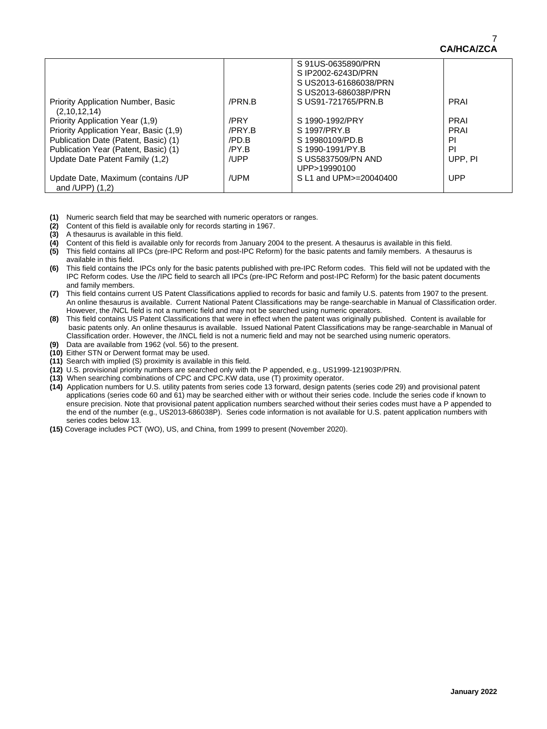|                                           |        | S91US-0635890/PRN        |             |
|-------------------------------------------|--------|--------------------------|-------------|
|                                           |        | S IP2002-6243D/PRN       |             |
|                                           |        | S US2013-61686038/PRN    |             |
|                                           |        | S US2013-686038P/PRN     |             |
| <b>Priority Application Number, Basic</b> | /PRN.B | S US91-721765/PRN.B      | <b>PRAI</b> |
| (2,10,12,14)                              |        |                          |             |
| Priority Application Year (1,9)           | /PRY   | S 1990-1992/PRY          | <b>PRAI</b> |
| Priority Application Year, Basic (1,9)    | /PRY.B | S 1997/PRY B             | <b>PRAI</b> |
| Publication Date (Patent, Basic) (1)      | /PD.B  | S 19980109/PD.B          | ΡI          |
| Publication Year (Patent, Basic) (1)      | /PY.B  | S 1990-1991/PY.B         | PI          |
| Update Date Patent Family (1,2)           | /UPP   | S US5837509/PN AND       | UPP, PI     |
|                                           |        | UPP>19990100             |             |
| Update Date, Maximum (contains / UP       | /UPM   | S L1 and UPM >= 20040400 | <b>UPP</b>  |
| and $/UPP$ ) $(1,2)$                      |        |                          |             |

**(1)** Numeric search field that may be searched with numeric operators or ranges.

**(2)** Content of this field is available only for records starting in 1967.

**(3)** A thesaurus is available in this field.

**(4)** Content of this field is available only for records from January 2004 to the present. A thesaurus is available in this field.

- **(5)** This field contains all IPCs (pre-IPC Reform and post-IPC Reform) for the basic patents and family members. A thesaurus is available in this field.
- **(6)** This field contains the IPCs only for the basic patents published with pre-IPC Reform codes. This field will not be updated with the IPC Reform codes. Use the /IPC field to search all IPCs (pre-IPC Reform and post-IPC Reform) for the basic patent documents and family members.
- **(7)** This field contains current US Patent Classifications applied to records for basic and family U.S. patents from 1907 to the present. An online thesaurus is available. Current National Patent Classifications may be range-searchable in Manual of Classification order. However, the /NCL field is not a numeric field and may not be searched using numeric operators.
- **(8)** This field contains US Patent Classifications that were in effect when the patent was originally published. Content is available for basic patents only. An online thesaurus is available. Issued National Patent Classifications may be range-searchable in Manual of Classification order. However, the /INCL field is not a numeric field and may not be searched using numeric operators.
- **(9)** Data are available from 1962 (vol. 56) to the present.
- **(10)** Either STN or Derwent format may be used.
- **(11)** Search with implied (S) proximity is available in this field.
- **(12)** U.S. provisional priority numbers are searched only with the P appended, e.g., US1999-121903P/PRN.
- **(13)** When searching combinations of CPC and CPC.KW data, use (T) proximity operator.
- **(14)** Application numbers for U.S. utility patents from series code 13 forward, design patents (series code 29) and provisional patent applications (series code 60 and 61) may be searched either with or without their series code. Include the series code if known to ensure precision. Note that provisional patent application numbers searched without their series codes must have a P appended to the end of the number (e.g., US2013-686038P). Series code information is not available for U.S. patent application numbers with series codes below 13.
- **(15)** Coverage includes PCT (WO), US, and China, from 1999 to present (November 2020).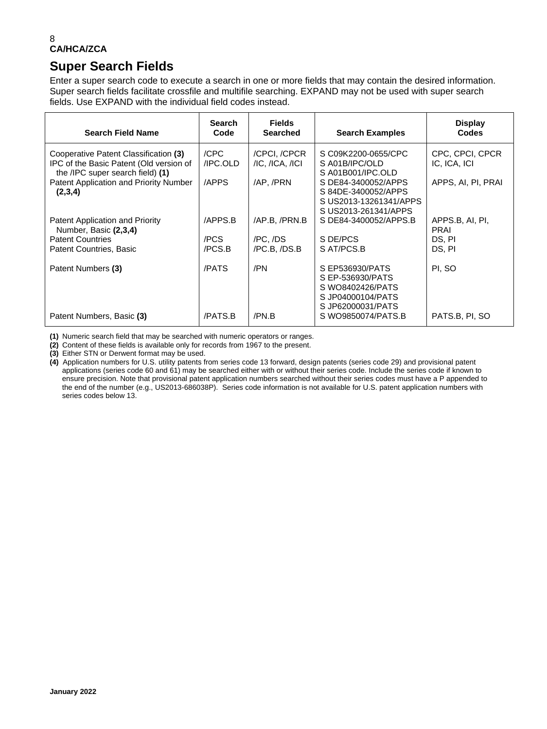## **Super Search Fields**

Enter a super search code to execute a search in one or more fields that may contain the desired information. Super search fields facilitate crossfile and multifile searching. EXPAND may not be used with super search fields. Use EXPAND with the individual field codes instead.

| <b>Search Field Name</b>                                                                                             | <b>Search</b><br>Code | <b>Fields</b><br><b>Searched</b>        | <b>Search Examples</b>                                                                            | <b>Display</b><br>Codes         |
|----------------------------------------------------------------------------------------------------------------------|-----------------------|-----------------------------------------|---------------------------------------------------------------------------------------------------|---------------------------------|
| Cooperative Patent Classification (3)<br>IPC of the Basic Patent (Old version of<br>the /IPC super search field) (1) | /CPC<br>/IPC.OLD      | /CPCI, /CPCR<br>$/IC$ , $/ICA$ , $/ICI$ | S C09K2200-0655/CPC<br>S A01B/IPC/OLD<br>SA01B001/IPC.OLD                                         | CPC, CPCI, CPCR<br>IC, ICA, ICI |
| Patent Application and Priority Number<br>(2,3,4)                                                                    | /APPS                 | /AP, /PRN                               | S DE84-3400052/APPS<br>S 84DE-3400052/APPS<br>S US2013-13261341/APPS<br>S US2013-261341/APPS      | APPS, AI, PI, PRAI              |
| Patent Application and Priority<br>Number, Basic (2,3,4)                                                             | /APPS.B               | /AP.B. /PRN.B                           | S DE84-3400052/APPS.B                                                                             | APPS.B, AI, PI,<br><b>PRAI</b>  |
| <b>Patent Countries</b>                                                                                              | /PCS                  | /PC, /DS                                | S DE/PCS                                                                                          | DS, PI                          |
| Patent Countries, Basic                                                                                              | /PCS.B                | /PC.B, /DS.B                            | S AT/PCS.B                                                                                        | DS. PI                          |
| Patent Numbers (3)                                                                                                   | /PATS                 | /PN                                     | S EP536930/PATS<br>S EP-536930/PATS<br>S WO8402426/PATS<br>S JP04000104/PATS<br>S JP62000031/PATS | PI, SO                          |
| Patent Numbers, Basic (3)                                                                                            | /PATS.B               | /PN.B                                   | S WO9850074/PATS.B                                                                                | PATS.B, PI, SO                  |

**(1)** Numeric search field that may be searched with numeric operators or ranges.

**(2)** Content of these fields is available only for records from 1967 to the present.

**(3)** Either STN or Derwent format may be used.

**(4)** Application numbers for U.S. utility patents from series code 13 forward, design patents (series code 29) and provisional patent applications (series code 60 and 61) may be searched either with or without their series code. Include the series code if known to ensure precision. Note that provisional patent application numbers searched without their series codes must have a P appended to the end of the number (e.g., US2013-686038P). Series code information is not available for U.S. patent application numbers with series codes below 13.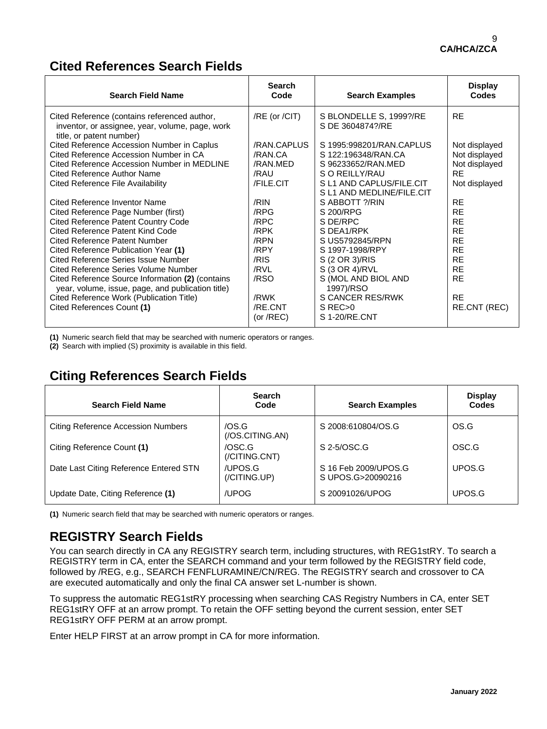### **Cited References Search Fields**

| <b>Search Field Name</b>                                                                                                                                                                                                                                       | <b>Search</b><br>Code                                   | <b>Search Examples</b>                                                                                                              | <b>Display</b><br><b>Codes</b>                                                |
|----------------------------------------------------------------------------------------------------------------------------------------------------------------------------------------------------------------------------------------------------------------|---------------------------------------------------------|-------------------------------------------------------------------------------------------------------------------------------------|-------------------------------------------------------------------------------|
| Cited Reference (contains referenced author,<br>inventor, or assignee, year, volume, page, work<br>title, or patent number)                                                                                                                                    | $/RE$ (or $/CH$ )                                       | S BLONDELLE S, 1999?/RE<br>S DE 3604874?/RE                                                                                         | <b>RE</b>                                                                     |
| Cited Reference Accession Number in Caplus<br>Cited Reference Accession Number in CA<br>Cited Reference Accession Number in MEDLINE<br><b>Cited Reference Author Name</b><br>Cited Reference File Availability                                                 | /RAN.CAPLUS<br>/RAN.CA<br>/RAN.MED<br>/RAU<br>/FILE.CIT | S 1995:998201/RAN.CAPLUS<br>S 122:196348/RAN.CA<br>S 96233652/RAN.MED<br>S O REILLY/RAU<br>S L1 AND CAPLUS/FILE.CIT                 | Not displayed<br>Not displayed<br>Not displayed<br><b>RE</b><br>Not displayed |
| Cited Reference Inventor Name<br>Cited Reference Page Number (first)<br><b>Cited Reference Patent Country Code</b><br>Cited Reference Patent Kind Code<br>Cited Reference Patent Number<br>Cited Reference Publication Year (1)                                | /RIN<br>/RPG<br>/RPC<br>/RPK<br>/RPN<br>/RPY            | S L1 AND MEDLINE/FILE.CIT<br>S ABBOTT ?/RIN<br>S 200/RPG<br>S DE/RPC<br>S DEA1/RPK<br>S US5792845/RPN<br>S 1997-1998/RPY            | <b>RE</b><br><b>RE</b><br><b>RE</b><br><b>RE</b><br><b>RE</b><br><b>RE</b>    |
| Cited Reference Series Issue Number<br>Cited Reference Series Volume Number<br>Cited Reference Source Information (2) (contains<br>year, volume, issue, page, and publication title)<br>Cited Reference Work (Publication Title)<br>Cited References Count (1) | /RIS<br>/RVL<br>/RSO<br>/RWK<br>/RE.CNT<br>(or $/REC$ ) | S (2 OR 3)/RIS<br>S (3 OR 4)/RVL<br>S (MOL AND BIOL AND<br>1997)/RSO<br>S CANCER RES/RWK<br>S REC <sub>&gt;0</sub><br>S 1-20/RE.CNT | <b>RE</b><br><b>RE</b><br><b>RE</b><br><b>RE</b><br>RE.CNT (REC)              |

**(1)** Numeric search field that may be searched with numeric operators or ranges.

**(2)** Search with implied (S) proximity is available in this field.

# **Citing References Search Fields**

| <b>Search Field Name</b>                  | <b>Search</b><br>Code                    | <b>Search Examples</b>                    | <b>Display</b><br>Codes |
|-------------------------------------------|------------------------------------------|-------------------------------------------|-------------------------|
| <b>Citing Reference Accession Numbers</b> | /OS.G<br>(70S.CITING.AN)                 | S 2008:610804/OS.G                        | OS.G                    |
| Citing Reference Count (1)                | /OSC.G<br>$\left($ /CITING.CNT $\right)$ | S 2-5/OSC.G                               | OSC.G                   |
| Date Last Citing Reference Entered STN    | /UPOS.G<br>(/CITING.UP)                  | S 16 Feb 2009/UPOS.G<br>S UPOS.G>20090216 | UPOS G                  |
| Update Date, Citing Reference (1)         | /UPOG                                    | S 20091026/UPOG                           | UPOS.G                  |

**(1)** Numeric search field that may be searched with numeric operators or ranges.

# **REGISTRY Search Fields**

You can search directly in CA any REGISTRY search term, including structures, with REG1stRY. To search a REGISTRY term in CA, enter the SEARCH command and your term followed by the REGISTRY field code, followed by /REG, e.g., SEARCH FENFLURAMINE/CN/REG. The REGISTRY search and crossover to CA are executed automatically and only the final CA answer set L-number is shown.

To suppress the automatic REG1stRY processing when searching CAS Registry Numbers in CA, enter SET REG1stRY OFF at an arrow prompt. To retain the OFF setting beyond the current session, enter SET REG1stRY OFF PERM at an arrow prompt.

Enter HELP FIRST at an arrow prompt in CA for more information.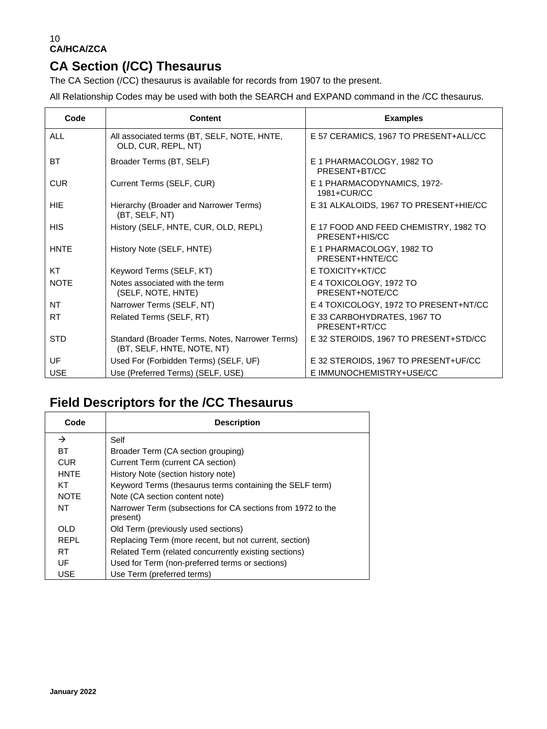# **CA Section (/CC) Thesaurus**

The CA Section (/CC) thesaurus is available for records from 1907 to the present.

All Relationship Codes may be used with both the SEARCH and EXPAND command in the /CC thesaurus.

| Code        | <b>Content</b>                                                                | <b>Examples</b>                                         |
|-------------|-------------------------------------------------------------------------------|---------------------------------------------------------|
| <b>ALL</b>  | All associated terms (BT, SELF, NOTE, HNTE,<br>OLD, CUR, REPL, NT)            | E 57 CERAMICS, 1967 TO PRESENT+ALL/CC                   |
| BT          | Broader Terms (BT, SELF)                                                      | E 1 PHARMACOLOGY, 1982 TO<br>PRESENT+BT/CC              |
| <b>CUR</b>  | Current Terms (SELF, CUR)                                                     | E 1 PHARMACODYNAMICS, 1972-<br>1981+CUR/CC              |
| HIE         | Hierarchy (Broader and Narrower Terms)<br>(BT, SELF, NT)                      | E 31 ALKALOIDS, 1967 TO PRESENT+HIE/CC                  |
| <b>HIS</b>  | History (SELF, HNTE, CUR, OLD, REPL)                                          | E 17 FOOD AND FEED CHEMISTRY, 1982 TO<br>PRESENT+HIS/CC |
| <b>HNTE</b> | History Note (SELF, HNTE)                                                     | E 1 PHARMACOLOGY, 1982 TO<br>PRESENT+HNTE/CC            |
| KT          | Keyword Terms (SELF, KT)                                                      | E TOXICITY+KT/CC                                        |
| <b>NOTE</b> | Notes associated with the term<br>(SELF, NOTE, HNTE)                          | E 4 TOXICOLOGY, 1972 TO<br>PRESENT+NOTE/CC              |
| NT          | Narrower Terms (SELF, NT)                                                     | E 4 TOXICOLOGY, 1972 TO PRESENT+NT/CC                   |
| <b>RT</b>   | Related Terms (SELF, RT)                                                      | E 33 CARBOHYDRATES, 1967 TO<br>PRESENT+RT/CC            |
| <b>STD</b>  | Standard (Broader Terms, Notes, Narrower Terms)<br>(BT, SELF, HNTE, NOTE, NT) | E 32 STEROIDS, 1967 TO PRESENT+STD/CC                   |
| UF          | Used For (Forbidden Terms) (SELF, UF)                                         | E 32 STEROIDS, 1967 TO PRESENT+UF/CC                    |
| <b>USE</b>  | Use (Preferred Terms) (SELF, USE)                                             | E IMMUNOCHEMISTRY+USE/CC                                |

# **Field Descriptors for the /CC Thesaurus**

| Code        | <b>Description</b>                                                      |
|-------------|-------------------------------------------------------------------------|
| →           | Self                                                                    |
| <b>BT</b>   | Broader Term (CA section grouping)                                      |
| <b>CUR</b>  | Current Term (current CA section)                                       |
| <b>HNTE</b> | History Note (section history note)                                     |
| KT          | Keyword Terms (thesaurus terms containing the SELF term)                |
| <b>NOTE</b> | Note (CA section content note)                                          |
| NT          | Narrower Term (subsections for CA sections from 1972 to the<br>present) |
| OL D        | Old Term (previously used sections)                                     |
| <b>REPL</b> | Replacing Term (more recent, but not current, section)                  |
| RT.         | Related Term (related concurrently existing sections)                   |
| UF          | Used for Term (non-preferred terms or sections)                         |
| USE         | Use Term (preferred terms)                                              |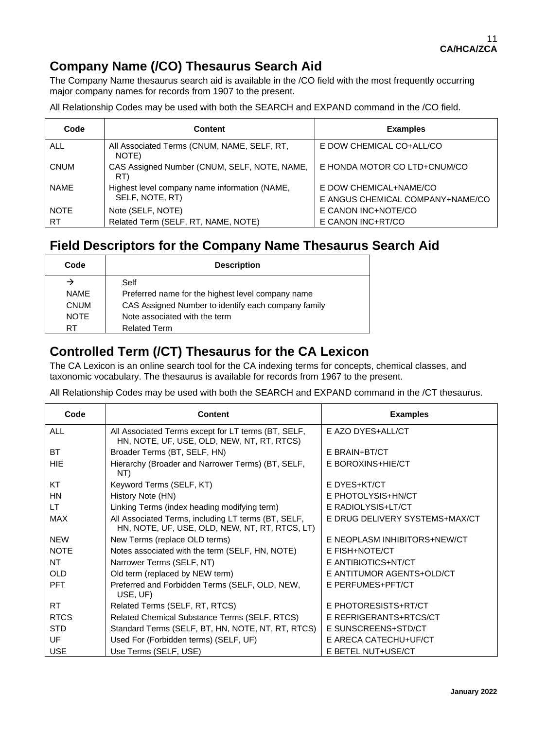### **Company Name (/CO) Thesaurus Search Aid**

The Company Name thesaurus search aid is available in the /CO field with the most frequently occurring major company names for records from 1907 to the present.

All Relationship Codes may be used with both the SEARCH and EXPAND command in the /CO field.

| Code        | <b>Content</b>                                       | <b>Examples</b>                  |
|-------------|------------------------------------------------------|----------------------------------|
| <b>ALL</b>  | All Associated Terms (CNUM, NAME, SELF, RT,<br>NOTE) | E DOW CHEMICAL CO+ALL/CO         |
| <b>CNUM</b> | CAS Assigned Number (CNUM, SELF, NOTE, NAME,<br>RT)  | E HONDA MOTOR CO LTD+CNUM/CO     |
| <b>NAME</b> | Highest level company name information (NAME,        | E DOW CHEMICAL+NAME/CO           |
|             | SELF, NOTE, RT)                                      | E ANGUS CHEMICAL COMPANY+NAME/CO |
| <b>NOTE</b> | Note (SELF, NOTE)                                    | E CANON INC+NOTE/CO              |
| RT          | Related Term (SELF, RT, NAME, NOTE)                  | E CANON INC+RT/CO                |

### **Field Descriptors for the Company Name Thesaurus Search Aid**

| Code        | <b>Description</b>                                  |  |
|-------------|-----------------------------------------------------|--|
|             | Self                                                |  |
| <b>NAMF</b> | Preferred name for the highest level company name   |  |
| <b>CNUM</b> | CAS Assigned Number to identify each company family |  |
| <b>NOTE</b> | Note associated with the term                       |  |
| RT          | <b>Related Term</b>                                 |  |

### **Controlled Term (/CT) Thesaurus for the CA Lexicon**

The CA Lexicon is an online search tool for the CA indexing terms for concepts, chemical classes, and taxonomic vocabulary. The thesaurus is available for records from 1967 to the present.

All Relationship Codes may be used with both the SEARCH and EXPAND command in the /CT thesaurus.

| Code        | <b>Content</b>                                                                                        | <b>Examples</b>                |
|-------------|-------------------------------------------------------------------------------------------------------|--------------------------------|
| <b>ALL</b>  | All Associated Terms except for LT terms (BT, SELF,<br>HN, NOTE, UF, USE, OLD, NEW, NT, RT, RTCS)     | E AZO DYES+ALL/CT              |
| BT          | Broader Terms (BT, SELF, HN)                                                                          | E BRAIN+BT/CT                  |
| <b>HIE</b>  | Hierarchy (Broader and Narrower Terms) (BT, SELF,<br>NT)                                              | E BOROXINS+HIE/CT              |
| KT          | Keyword Terms (SELF, KT)                                                                              | E DYES+KT/CT                   |
| <b>HN</b>   | History Note (HN)                                                                                     | E PHOTOLYSIS+HN/CT             |
| LT.         | Linking Terms (index heading modifying term)                                                          | E RADIOLYSIS+LT/CT             |
| <b>MAX</b>  | All Associated Terms, including LT terms (BT, SELF,<br>HN, NOTE, UF, USE, OLD, NEW, NT, RT, RTCS, LT) | E DRUG DELIVERY SYSTEMS+MAX/CT |
| <b>NEW</b>  | New Terms (replace OLD terms)                                                                         | E NEOPLASM INHIBITORS+NEW/CT   |
| <b>NOTE</b> | Notes associated with the term (SELF, HN, NOTE)                                                       | E FISH+NOTE/CT                 |
| <b>NT</b>   | Narrower Terms (SELF, NT)                                                                             | E ANTIBIOTICS+NT/CT            |
| <b>OLD</b>  | Old term (replaced by NEW term)                                                                       | E ANTITUMOR AGENTS+OLD/CT      |
| <b>PFT</b>  | Preferred and Forbidden Terms (SELF, OLD, NEW,<br>USE, UF)                                            | E PERFUMES+PFT/CT              |
| RT.         | Related Terms (SELF, RT, RTCS)                                                                        | E PHOTORESISTS+RT/CT           |
| <b>RTCS</b> | Related Chemical Substance Terms (SELF, RTCS)                                                         | E REFRIGERANTS+RTCS/CT         |
| <b>STD</b>  | Standard Terms (SELF, BT, HN, NOTE, NT, RT, RTCS)                                                     | E SUNSCREENS+STD/CT            |
| UF          | Used For (Forbidden terms) (SELF, UF)                                                                 | E ARECA CATECHU+UF/CT          |
| <b>USE</b>  | Use Terms (SELF, USE)                                                                                 | E BETEL NUT+USE/CT             |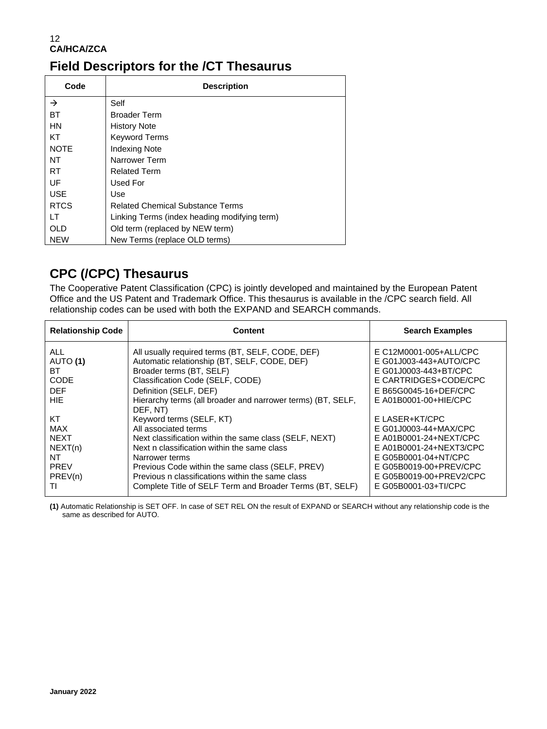### **Field Descriptors for the /CT Thesaurus**

| Code          | <b>Description</b>                           |
|---------------|----------------------------------------------|
| $\rightarrow$ | Self                                         |
| BT            | <b>Broader Term</b>                          |
| <b>HN</b>     | <b>History Note</b>                          |
| KT            | <b>Keyword Terms</b>                         |
| <b>NOTE</b>   | <b>Indexing Note</b>                         |
| NT            | Narrower Term                                |
| <b>RT</b>     | <b>Related Term</b>                          |
| UF            | Used For                                     |
| <b>USE</b>    | Use                                          |
| <b>RTCS</b>   | <b>Related Chemical Substance Terms</b>      |
| LT            | Linking Terms (index heading modifying term) |
| OLD           | Old term (replaced by NEW term)              |
| <b>NEW</b>    | New Terms (replace OLD terms)                |

### **CPC (/CPC) Thesaurus**

The Cooperative Patent Classification (CPC) is jointly developed and maintained by the European Patent Office and the US Patent and Trademark Office. This thesaurus is available in the /CPC search field. All relationship codes can be used with both the EXPAND and SEARCH commands.

| <b>Relationship Code</b>                                                         | Content                                                                                                                                                                                                                                                                                                                                                     | <b>Search Examples</b>                                                                                                                                                                            |
|----------------------------------------------------------------------------------|-------------------------------------------------------------------------------------------------------------------------------------------------------------------------------------------------------------------------------------------------------------------------------------------------------------------------------------------------------------|---------------------------------------------------------------------------------------------------------------------------------------------------------------------------------------------------|
| ALL.<br>AUTO (1)<br>ВT<br><b>CODE</b><br><b>DEF</b><br><b>HIF</b>                | All usually required terms (BT, SELF, CODE, DEF)<br>Automatic relationship (BT, SELF, CODE, DEF)<br>Broader terms (BT, SELF)<br>Classification Code (SELF, CODE)<br>Definition (SELF, DEF)<br>Hierarchy terms (all broader and narrower terms) (BT, SELF,                                                                                                   | E C12M0001-005+ALL/CPC<br>E G01J003-443+AUTO/CPC<br>E G01J0003-443+BT/CPC<br>E CARTRIDGES+CODE/CPC<br>E B65G0045-16+DEF/CPC<br>E A01B0001-00+HIE/CPC                                              |
| KT<br><b>MAX</b><br><b>NEXT</b><br>NEXT(n)<br>NT<br><b>PREV</b><br>PREV(n)<br>TI | DEF. NT)<br>Keyword terms (SELF, KT)<br>All associated terms<br>Next classification within the same class (SELF, NEXT)<br>Next n classification within the same class<br>Narrower terms<br>Previous Code within the same class (SELF, PREV)<br>Previous n classifications within the same class<br>Complete Title of SELF Term and Broader Terms (BT, SELF) | E LASER+KT/CPC<br>E G01J0003-44+MAX/CPC<br>E A01B0001-24+NEXT/CPC<br>E A01B0001-24+NEXT3/CPC<br>E G05B0001-04+NT/CPC<br>E G05B0019-00+PREV/CPC<br>E G05B0019-00+PREV2/CPC<br>E G05B0001-03+TI/CPC |

**(1)** Automatic Relationship is SET OFF. In case of SET REL ON the result of EXPAND or SEARCH without any relationship code is the same as described for AUTO.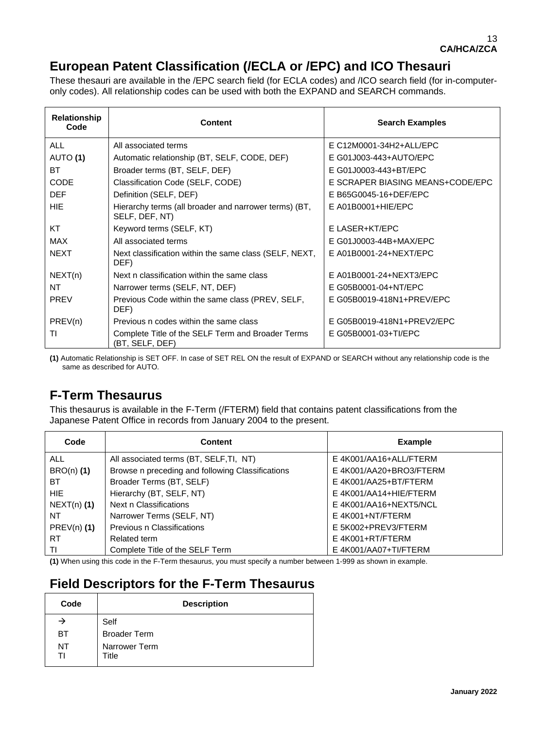## **European Patent Classification (/ECLA or /EPC) and ICO Thesauri**

These thesauri are available in the /EPC search field (for ECLA codes) and /ICO search field (for in-computeronly codes). All relationship codes can be used with both the EXPAND and SEARCH commands.

| Relationship<br>Code | <b>Content</b>                                                          | <b>Search Examples</b>           |
|----------------------|-------------------------------------------------------------------------|----------------------------------|
| <b>ALL</b>           | All associated terms                                                    | E C12M0001-34H2+ALL/EPC          |
| AUTO (1)             | Automatic relationship (BT, SELF, CODE, DEF)                            | E G01J003-443+AUTO/EPC           |
| ВT                   | Broader terms (BT, SELF, DEF)                                           | E G01J0003-443+BT/EPC            |
| <b>CODE</b>          | Classification Code (SELF, CODE)                                        | E SCRAPER BIASING MEANS+CODE/EPC |
| <b>DEF</b>           | Definition (SELF, DEF)                                                  | E B65G0045-16+DEF/EPC            |
| <b>HIE</b>           | Hierarchy terms (all broader and narrower terms) (BT,<br>SELF, DEF, NT) | $E$ A01B0001+HIE/EPC             |
| КT                   | Keyword terms (SELF, KT)                                                | E LASER+KT/EPC                   |
| <b>MAX</b>           | All associated terms                                                    | E G01J0003-44B+MAX/EPC           |
| <b>NEXT</b>          | Next classification within the same class (SELF, NEXT,<br>DEF)          | E A01B0001-24+NEXT/EPC           |
| NEXT(n)              | Next n classification within the same class                             | E A01B0001-24+NEXT3/EPC          |
| NT                   | Narrower terms (SELF, NT, DEF)                                          | E G05B0001-04+NT/EPC             |
| <b>PREV</b>          | Previous Code within the same class (PREV, SELF,<br>DEF)                | E G05B0019-418N1+PREV/EPC        |
| PREV(n)              | Previous n codes within the same class                                  | E G05B0019-418N1+PREV2/EPC       |
| ΤI                   | Complete Title of the SELF Term and Broader Terms<br>(BT, SELF, DEF)    | E G05B0001-03+TI/EPC             |

**(1)** Automatic Relationship is SET OFF. In case of SET REL ON the result of EXPAND or SEARCH without any relationship code is the same as described for AUTO.

### **F-Term Thesaurus**

This thesaurus is available in the F-Term (/FTERM) field that contains patent classifications from the Japanese Patent Office in records from January 2004 to the present.

| Code          | Content                                          | <b>Example</b>          |
|---------------|--------------------------------------------------|-------------------------|
| ALL.          | All associated terms (BT, SELF, TI, NT)          | E 4K001/AA16+ALL/FTERM  |
| $BRO(n)$ (1)  | Browse n preceding and following Classifications | E 4K001/AA20+BRO3/FTERM |
| BT.           | Broader Terms (BT, SELF)                         | E 4K001/AA25+BT/FTERM   |
| HIE.          | Hierarchy (BT, SELF, NT)                         | E 4K001/AA14+HIE/FTERM  |
| $NEXT(n)$ (1) | Next n Classifications                           | E4K001/AA16+NEXT5/NCL   |
| NT.           | Narrower Terms (SELF, NT)                        | E 4K001+NT/FTERM        |
| $PREV(n)$ (1) | Previous n Classifications                       | E 5K002+PREV3/FTERM     |
| RT.           | Related term                                     | E 4K001+RT/FTERM        |
| ΤI            | Complete Title of the SELF Term                  | E 4K001/AA07+TI/FTERM   |

**(1)** When using this code in the F-Term thesaurus, you must specify a number between 1-999 as shown in example.

# **Field Descriptors for the F-Term Thesaurus**

| Code     | <b>Description</b>     |
|----------|------------------------|
|          | Self                   |
| BТ       | <b>Broader Term</b>    |
| NT<br>Τl | Narrower Term<br>Title |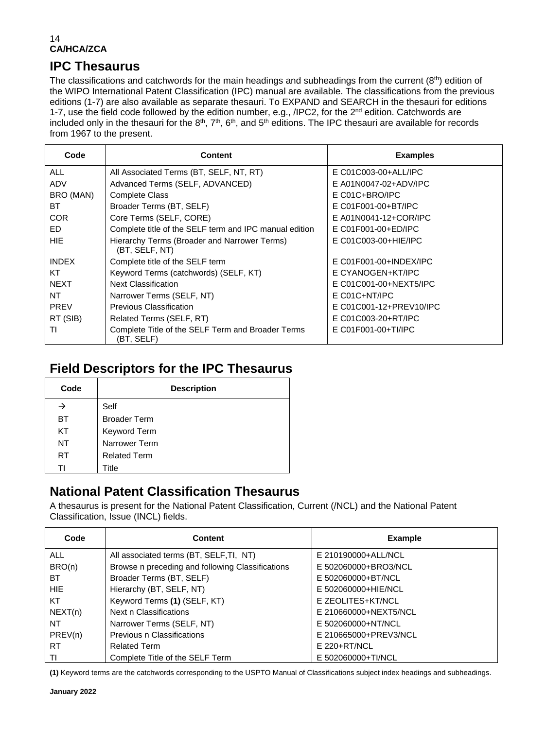### **IPC Thesaurus**

The classifications and catchwords for the main headings and subheadings from the current (8<sup>th</sup>) edition of the WIPO International Patent Classification (IPC) manual are available. The classifications from the previous editions (1-7) are also available as separate thesauri. To EXPAND and SEARCH in the thesauri for editions 1-7, use the field code followed by the edition number, e.g.,  $/$ IPC2, for the  $2^{nd}$  edition. Catchwords are included only in the thesauri for the  $8<sup>th</sup>$ ,  $7<sup>th</sup>$ ,  $6<sup>th</sup>$ , and  $5<sup>th</sup>$  editions. The IPC thesauri are available for records from 1967 to the present.

| Code         | <b>Content</b>                                                  | <b>Examples</b>          |
|--------------|-----------------------------------------------------------------|--------------------------|
| <b>ALL</b>   | All Associated Terms (BT, SELF, NT, RT)                         | E C01C003-00+ALL/IPC     |
| ADV          | Advanced Terms (SELF, ADVANCED)                                 | $E$ A01N0047-02+ADV/IPC  |
| BRO (MAN)    | Complete Class                                                  | $E CO1C + BRO/IPC$       |
| <b>BT</b>    | Broader Terms (BT, SELF)                                        | E C01F001-00+BT/IPC      |
| <b>COR</b>   | Core Terms (SELF, CORE)                                         | E A01N0041-12+COR/IPC    |
| FD.          | Complete title of the SELF term and IPC manual edition          | E C01F001-00+ED/IPC      |
| HIE.         | Hierarchy Terms (Broader and Narrower Terms)<br>(BT, SELF, NT)  | E C01C003-00+HIE/IPC     |
| <b>INDEX</b> | Complete title of the SELF term                                 | $E$ C01F001-00+INDEX/IPC |
| KT           | Keyword Terms (catchwords) (SELF, KT)                           | E CYANOGEN+KT/IPC        |
| <b>NEXT</b>  | <b>Next Classification</b>                                      | E C01C001-00+NEXT5/IPC   |
| NT           | Narrower Terms (SELF, NT)                                       | $E CO1C+NT/IPC$          |
| <b>PREV</b>  | <b>Previous Classification</b>                                  | E C01C001-12+PREV10/IPC  |
| RT (SIB)     | Related Terms (SELF, RT)                                        | E C01C003-20+RT/IPC      |
| ΤI           | Complete Title of the SELF Term and Broader Terms<br>(BT, SELF) | E C01F001-00+TI/IPC      |

### **Field Descriptors for the IPC Thesaurus**

| Code      | <b>Description</b>  |
|-----------|---------------------|
| →         | Self                |
| ВT        | <b>Broader Term</b> |
| KT        | Keyword Term        |
| NT        | Narrower Term       |
| <b>RT</b> | <b>Related Term</b> |
| TI        | Title               |

### **National Patent Classification Thesaurus**

A thesaurus is present for the National Patent Classification, Current (/NCL) and the National Patent Classification, Issue (INCL) fields.

| Code       | <b>Content</b>                                   | <b>Example</b>        |
|------------|--------------------------------------------------|-----------------------|
| <b>ALL</b> | All associated terms (BT, SELF, TI, NT)          | E 210190000+ALL/NCL   |
| BRO(n)     | Browse n preceding and following Classifications | E 502060000+BRO3/NCL  |
| ВT         | Broader Terms (BT, SELF)                         | E 502060000+BT/NCL    |
| HIE.       | Hierarchy (BT, SELF, NT)                         | E 502060000+HIE/NCL   |
| KT         | Keyword Terms (1) (SELF, KT)                     | E ZEOLITES+KT/NCL     |
| NEXT(n)    | Next n Classifications                           | E 210660000+NEXT5/NCL |
| NT.        | Narrower Terms (SELF, NT)                        | E 502060000+NT/NCL    |
| PREV(n)    | Previous n Classifications                       | E 210665000+PREV3/NCL |
| <b>RT</b>  | <b>Related Term</b>                              | E 220+RT/NCL          |
| TI         | Complete Title of the SELF Term                  | E 502060000+TI/NCL    |

**(1)** Keyword terms are the catchwords corresponding to the USPTO Manual of Classifications subject index headings and subheadings.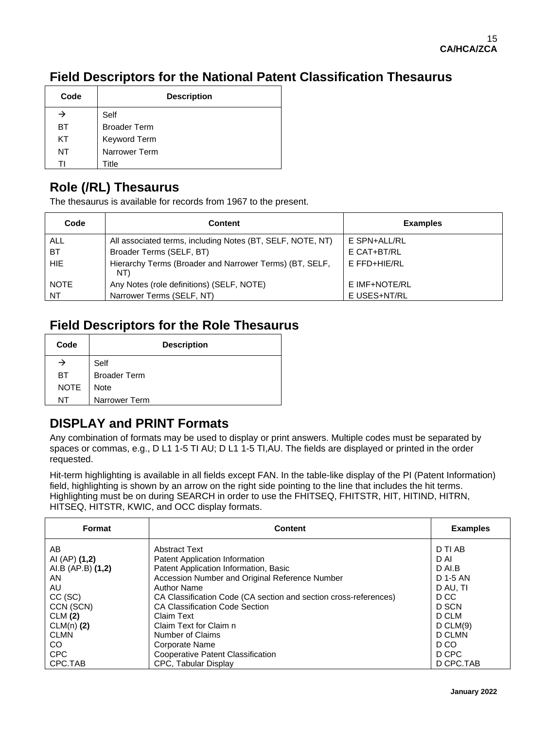### **Field Descriptors for the National Patent Classification Thesaurus**

| Code | <b>Description</b>  |
|------|---------------------|
| →    | Self                |
| BT   | <b>Broader Term</b> |
| KT   | Keyword Term        |
| NT   | Narrower Term       |
|      | Title               |

## **Role (/RL) Thesaurus**

The thesaurus is available for records from 1967 to the present.

| Code        | <b>Content</b>                                                 | <b>Examples</b> |
|-------------|----------------------------------------------------------------|-----------------|
| <b>ALL</b>  | All associated terms, including Notes (BT, SELF, NOTE, NT)     | E SPN+ALL/RL    |
| <b>BT</b>   | Broader Terms (SELF, BT)                                       | E CAT+BT/RL     |
| HIE.        | Hierarchy Terms (Broader and Narrower Terms) (BT, SELF,<br>NT) | E FFD+HIE/RL    |
| <b>NOTE</b> | Any Notes (role definitions) (SELF, NOTE)                      | E IMF+NOTE/RL   |
| NT.         | Narrower Terms (SELF, NT)                                      | E USES+NT/RL    |

### **Field Descriptors for the Role Thesaurus**

| Code        | <b>Description</b>  |
|-------------|---------------------|
|             | Self                |
| BT.         | <b>Broader Term</b> |
| <b>NOTE</b> | <b>Note</b>         |
| NT          | Narrower Term       |

### **DISPLAY and PRINT Formats**

Any combination of formats may be used to display or print answers. Multiple codes must be separated by spaces or commas, e.g., D L1 1-5 TI AU; D L1 1-5 TI, AU. The fields are displayed or printed in the order requested.

Hit-term highlighting is available in all fields except FAN. In the table-like display of the PI (Patent Information) field, highlighting is shown by an arrow on the right side pointing to the line that includes the hit terms. Highlighting must be on during SEARCH in order to use the FHITSEQ, FHITSTR, HIT, HITIND, HITRN, HITSEQ, HITSTR, KWIC, and OCC display formats.

| Format            | <b>Content</b>                                                   | <b>Examples</b> |
|-------------------|------------------------------------------------------------------|-----------------|
| AB                | Abstract Text                                                    | D TI AB         |
| AI (AP) (1,2)     | Patent Application Information                                   | D AI            |
| AI.B (AP.B) (1,2) | Patent Application Information, Basic                            | D AI.B          |
| AN                | Accession Number and Original Reference Number                   | D 1-5 AN        |
| AU                | <b>Author Name</b>                                               | D AU. TI        |
| $CC$ (SC)         | CA Classification Code (CA section and section cross-references) | D CC            |
| CCN (SCN)         | <b>CA Classification Code Section</b>                            | D SCN           |
| CLM(2)            | <b>Claim Text</b>                                                | D CLM           |
| $CLM(n)$ (2)      | Claim Text for Claim n                                           | D CLM(9)        |
| <b>CLMN</b>       | Number of Claims                                                 | D CLMN          |
| CO.               | <b>Corporate Name</b>                                            | D CO            |
| <b>CPC</b>        | Cooperative Patent Classification                                | D CPC           |
| CPC.TAB           | <b>CPC. Tabular Display</b>                                      | D CPC.TAB       |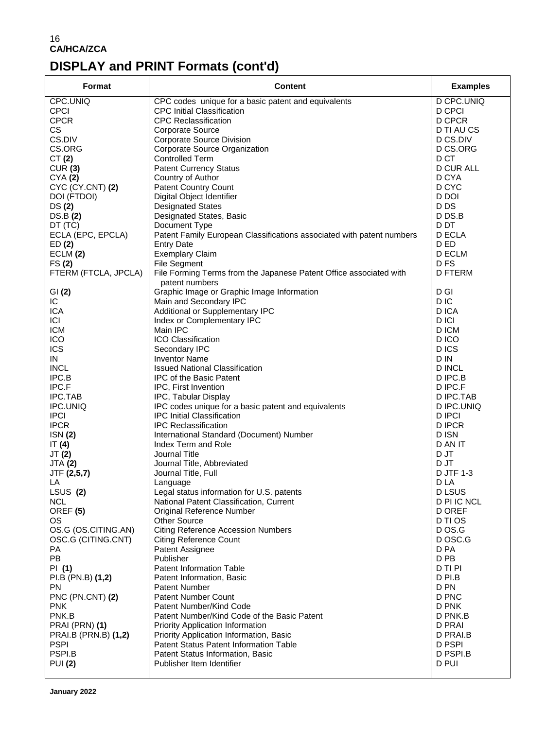# **DISPLAY and PRINT Formats (cont'd)**

| Format               | <b>Content</b>                                                                       | <b>Examples</b>  |
|----------------------|--------------------------------------------------------------------------------------|------------------|
| CPC.UNIQ             | CPC codes unique for a basic patent and equivalents                                  | D CPC.UNIQ       |
| <b>CPCI</b>          | <b>CPC Initial Classification</b>                                                    | D CPCI           |
| <b>CPCR</b>          | <b>CPC Reclassification</b>                                                          | D CPCR           |
| <b>CS</b>            | <b>Corporate Source</b>                                                              | D TI AU CS       |
| CS.DIV               | Corporate Source Division                                                            | D CS.DIV         |
| CS.ORG               | Corporate Source Organization                                                        | D CS.ORG         |
| CT(2)                | <b>Controlled Term</b>                                                               | D CT             |
| CUR(3)               | <b>Patent Currency Status</b>                                                        | <b>D CUR ALL</b> |
| CYA(2)               | Country of Author                                                                    | D CYA            |
| CYC (CY.CNT) (2)     | <b>Patent Country Count</b>                                                          | D CYC            |
| DOI (FTDOI)          | Digital Object Identifier                                                            | D DOI            |
| DS(2)                | <b>Designated States</b>                                                             | D DS             |
| DS.B(2)              | Designated States, Basic                                                             | D DS.B           |
| DT (TC)              | Document Type                                                                        | D DT             |
| ECLA (EPC, EPCLA)    | Patent Family European Classifications associated with patent numbers                | D ECLA           |
| ED(2)                | <b>Entry Date</b>                                                                    | D ED             |
| ECLM (2)             | <b>Exemplary Claim</b>                                                               | D ECLM           |
| FS(2)                | File Segment                                                                         | D <sub>FS</sub>  |
| FTERM (FTCLA, JPCLA) | File Forming Terms from the Japanese Patent Office associated with<br>patent numbers | <b>D FTERM</b>   |
| GI(2)                | Graphic Image or Graphic Image Information                                           | D GI             |
| IC                   | Main and Secondary IPC                                                               | D IC             |
| <b>ICA</b>           | Additional or Supplementary IPC                                                      | D ICA            |
| CI                   | Index or Complementary IPC                                                           | D ICI            |
| <b>ICM</b>           | Main IPC                                                                             | D ICM            |
| ICO                  | ICO Classification                                                                   | D ICO            |
| <b>ICS</b>           | Secondary IPC                                                                        | D ICS            |
| ${\sf IN}$           | <b>Inventor Name</b>                                                                 | D IN             |
| <b>INCL</b>          | <b>Issued National Classification</b>                                                | D INCL           |
| IPC.B                | <b>IPC of the Basic Patent</b>                                                       | D IPC.B          |
| IPC.F                | IPC, First Invention                                                                 | D IPC.F          |
| IPC.TAB              | IPC, Tabular Display                                                                 | D IPC.TAB        |
| IPC.UNIQ             | IPC codes unique for a basic patent and equivalents                                  | D IPC.UNIQ       |
| <b>IPCI</b>          | <b>IPC Initial Classification</b>                                                    | <b>D IPCI</b>    |
| <b>IPCR</b>          | <b>IPC Reclassification</b>                                                          | <b>DIPCR</b>     |
| ISN(2)               | International Standard (Document) Number                                             | D ISN            |
| IT $(4)$             | Index Term and Role                                                                  | D AN IT          |
| JT(2)                | Journal Title                                                                        | D JT             |
| <b>JTA (2)</b>       | Journal Title, Abbreviated                                                           | D JT             |
| JTF (2,5,7)          | Journal Title, Full                                                                  | D JTF 1-3        |
| LA                   | Language                                                                             | D LA             |
| LSUS (2)             | Legal status information for U.S. patents                                            | D LSUS           |
| <b>NCL</b>           | National Patent Classification, Current                                              | D PI IC NCL      |
| OREF <sub>(5)</sub>  | Original Reference Number                                                            | <b>D OREF</b>    |
| OS.                  | <b>Other Source</b>                                                                  | D TI OS          |
| OS.G (OS.CITING.AN)  | <b>Citing Reference Accession Numbers</b>                                            | D OS.G           |
| OSC.G (CITING.CNT)   | <b>Citing Reference Count</b>                                                        | D OSC.G          |
| PA                   | Patent Assignee                                                                      | D PA             |
| PB                   | Publisher                                                                            | D PB             |
| PI (1)               | Patent Information Table                                                             | D TI PI          |
| PI.B (PN.B) (1,2)    | Patent Information, Basic                                                            | D PI.B           |
| PN.                  | <b>Patent Number</b>                                                                 | D PN             |
| PNC (PN.CNT) (2)     | Patent Number Count                                                                  | D PNC            |
| <b>PNK</b>           | Patent Number/Kind Code                                                              | D PNK            |
| PNK.B                | Patent Number/Kind Code of the Basic Patent                                          | D PNK.B          |
| PRAI (PRN) (1)       | Priority Application Information                                                     | <b>D PRAI</b>    |
| PRAI.B (PRN.B) (1,2) | Priority Application Information, Basic                                              | D PRAI.B         |
| <b>PSPI</b>          | Patent Status Patent Information Table                                               | D PSPI           |
| PSPI.B               | Patent Status Information, Basic                                                     | D PSPI.B         |
| <b>PUI (2)</b>       | Publisher Item Identifier                                                            | D PUI            |
|                      |                                                                                      |                  |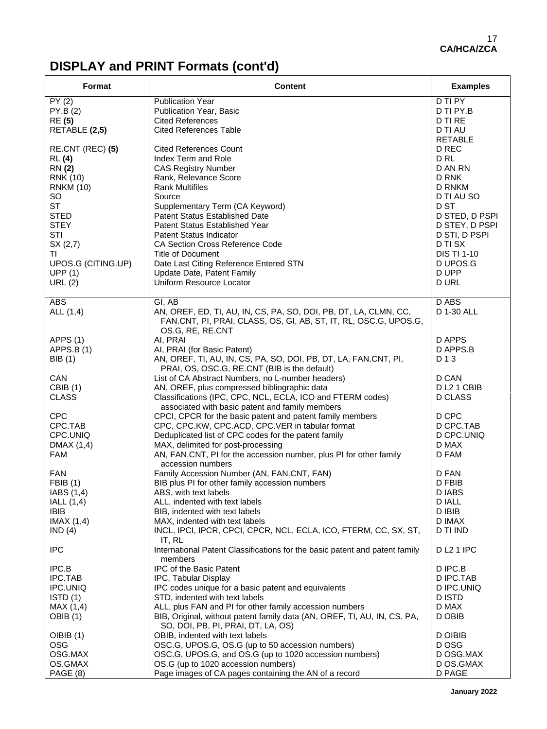# **DISPLAY and PRINT Formats (cont'd)**

| Format                                                                                                                                                                                                                | <b>Content</b>                                                                                                                                                                                                                                                                                                                                                                                                                                                                                                                                                                                                                                                                                                                                                                                                                                                           | <b>Examples</b>                                                                                                                                                                                                |
|-----------------------------------------------------------------------------------------------------------------------------------------------------------------------------------------------------------------------|--------------------------------------------------------------------------------------------------------------------------------------------------------------------------------------------------------------------------------------------------------------------------------------------------------------------------------------------------------------------------------------------------------------------------------------------------------------------------------------------------------------------------------------------------------------------------------------------------------------------------------------------------------------------------------------------------------------------------------------------------------------------------------------------------------------------------------------------------------------------------|----------------------------------------------------------------------------------------------------------------------------------------------------------------------------------------------------------------|
| PY(2)<br>PY.B(2)<br><b>RE</b> (5)<br>RETABLE (2,5)                                                                                                                                                                    | <b>Publication Year</b><br>Publication Year, Basic<br><b>Cited References</b><br><b>Cited References Table</b>                                                                                                                                                                                                                                                                                                                                                                                                                                                                                                                                                                                                                                                                                                                                                           | D TI PY<br>D TI PY.B<br>D TI RE<br>D TI AU<br><b>RETABLE</b>                                                                                                                                                   |
| RE.CNT (REC) (5)<br><b>RL</b> (4)<br><b>RN</b> (2)<br><b>RNK (10)</b><br><b>RNKM (10)</b><br>SO<br><b>ST</b><br><b>STED</b><br><b>STEY</b><br>STI<br>SX(2,7)<br>TI<br>UPOS.G (CITING.UP)<br>UPP(1)<br>URL (2)         | <b>Cited References Count</b><br>Index Term and Role<br><b>CAS Registry Number</b><br>Rank, Relevance Score<br><b>Rank Multifiles</b><br>Source<br>Supplementary Term (CA Keyword)<br>Patent Status Established Date<br>Patent Status Established Year<br><b>Patent Status Indicator</b><br><b>CA Section Cross Reference Code</b><br>Title of Document<br>Date Last Citing Reference Entered STN<br>Update Date, Patent Family<br>Uniform Resource Locator                                                                                                                                                                                                                                                                                                                                                                                                              | D REC<br>D <sub>RL</sub><br>D AN RN<br>D RNK<br><b>D RNKM</b><br>D TI AU SO<br>D ST<br>D STED, D PSPI<br>D STEY, D PSPI<br>D STI, D PSPI<br><b>D TI SX</b><br><b>DIS TI 1-10</b><br>D UPOS.G<br>D UPP<br>D URL |
| <b>ABS</b><br>ALL (1,4)                                                                                                                                                                                               | GI, AB<br>AN, OREF, ED, TI, AU, IN, CS, PA, SO, DOI, PB, DT, LA, CLMN, CC,<br>FAN.CNT, PI, PRAI, CLASS, OS, GI, AB, ST, IT, RL, OSC.G, UPOS.G,                                                                                                                                                                                                                                                                                                                                                                                                                                                                                                                                                                                                                                                                                                                           | D ABS<br>D 1-30 ALL                                                                                                                                                                                            |
| APPS (1)<br>APPS.B(1)<br><b>BIB</b> (1)<br><b>CAN</b><br><b>CBIB</b> (1)<br><b>CLASS</b><br><b>CPC</b><br>CPC.TAB<br>CPC.UNIQ<br>DMAX (1,4)<br><b>FAM</b><br><b>FAN</b><br><b>FBIB</b> (1)<br>IABS (1,4)<br>IALL(1,4) | OS.G, RE, RE.CNT<br>AI, PRAI<br>AI, PRAI (for Basic Patent)<br>AN, OREF, TI, AU, IN, CS, PA, SO, DOI, PB, DT, LA, FAN.CNT, PI,<br>PRAI, OS, OSC.G, RE.CNT (BIB is the default)<br>List of CA Abstract Numbers, no L-number headers)<br>AN, OREF, plus compressed bibliographic data<br>Classifications (IPC, CPC, NCL, ECLA, ICO and FTERM codes)<br>associated with basic patent and family members<br>CPCI, CPCR for the basic patent and patent family members<br>CPC, CPC.KW, CPC.ACD, CPC.VER in tabular format<br>Deduplicated list of CPC codes for the patent family<br>MAX, delimited for post-processing<br>AN, FAN.CNT, PI for the accession number, plus PI for other family<br>accession numbers<br>Family Accession Number (AN, FAN.CNT, FAN)<br>BIB plus PI for other family accession numbers<br>ABS, with text labels<br>ALL, indented with text labels | D APPS<br>D APPS.B<br>D 1 3<br>D CAN<br>DL2 1 CBIB<br><b>D CLASS</b><br>D CPC<br>D CPC.TAB<br>D CPC.UNIQ<br>D MAX<br>D FAM<br>D FAN<br>D FBIB<br>D IABS<br>D IALL                                              |
| <b>IBIB</b><br>IMAX $(1,4)$<br>IND(4)                                                                                                                                                                                 | BIB, indented with text labels<br>MAX, indented with text labels<br>INCL, IPCI, IPCR, CPCI, CPCR, NCL, ECLA, ICO, FTERM, CC, SX, ST,<br>IT, RL                                                                                                                                                                                                                                                                                                                                                                                                                                                                                                                                                                                                                                                                                                                           | D IBIB<br>D IMAX<br>D TI IND                                                                                                                                                                                   |
| <b>IPC</b><br>IPC.B<br>IPC.TAB<br>IPC.UNIQ<br>ISTD(1)<br>MAX(1,4)<br>OBIB (1)<br>OIBIB (1)                                                                                                                            | International Patent Classifications for the basic patent and patent family<br>members<br><b>IPC of the Basic Patent</b><br>IPC, Tabular Display<br>IPC codes unique for a basic patent and equivalents<br>STD, indented with text labels<br>ALL, plus FAN and PI for other family accession numbers<br>BIB, Original, without patent family data (AN, OREF, TI, AU, IN, CS, PA,<br>SO, DOI, PB, PI, PRAI, DT, LA, OS)<br>OBIB, indented with text labels                                                                                                                                                                                                                                                                                                                                                                                                                | <b>DL21 IPC</b><br>D IPC.B<br>D IPC.TAB<br>D IPC.UNIQ<br><b>DISTD</b><br>D MAX<br>D OBIB<br>D OIBIB                                                                                                            |
| <b>OSG</b><br>OSG.MAX<br>OS.GMAX<br>PAGE (8)                                                                                                                                                                          | OSC.G, UPOS.G, OS.G (up to 50 accession numbers)<br>OSC.G, UPOS.G, and OS.G (up to 1020 accession numbers)<br>OS.G (up to 1020 accession numbers)<br>Page images of CA pages containing the AN of a record                                                                                                                                                                                                                                                                                                                                                                                                                                                                                                                                                                                                                                                               | D OSG<br>D OSG.MAX<br>D OS.GMAX<br>D PAGE                                                                                                                                                                      |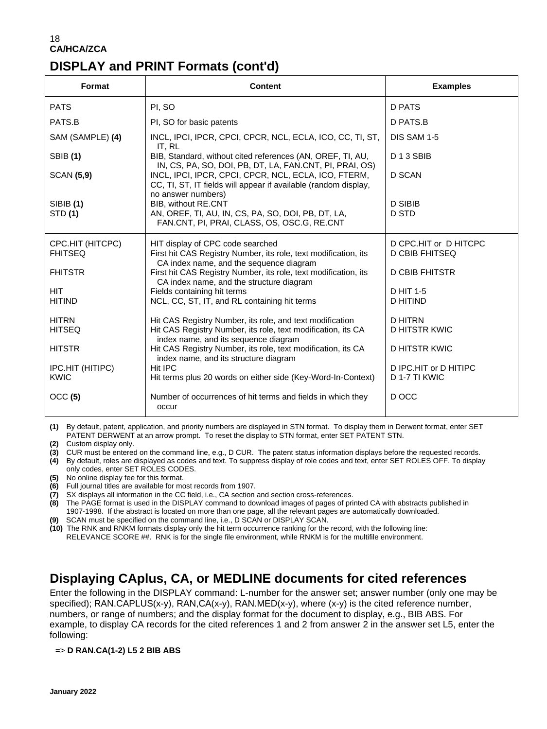| Format                             | <b>Content</b>                                                                                                                                 | <b>Examples</b>                                |
|------------------------------------|------------------------------------------------------------------------------------------------------------------------------------------------|------------------------------------------------|
| <b>PATS</b>                        | PI, SO                                                                                                                                         | D PATS                                         |
| PATS.B                             | PI, SO for basic patents                                                                                                                       | D PATS.B                                       |
| SAM (SAMPLE) (4)                   | INCL, IPCI, IPCR, CPCI, CPCR, NCL, ECLA, ICO, CC, TI, ST,<br>IT, RL                                                                            | DIS SAM 1-5                                    |
| <b>SBIB</b> (1)                    | BIB, Standard, without cited references (AN, OREF, TI, AU,<br>IN, CS, PA, SO, DOI, PB, DT, LA, FAN.CNT, PI, PRAI, OS)                          | D <sub>13</sub> SBIB                           |
| <b>SCAN (5,9)</b>                  | INCL, IPCI, IPCR, CPCI, CPCR, NCL, ECLA, ICO, FTERM,<br>CC, TI, ST, IT fields will appear if available (random display,<br>no answer numbers)  | D SCAN                                         |
| SIBIB (1)<br>STD (1)               | BIB, without RE.CNT<br>AN, OREF, TI, AU, IN, CS, PA, SO, DOI, PB, DT, LA,<br>FAN.CNT, PI, PRAI, CLASS, OS, OSC.G, RE.CNT                       | <b>D SIBIB</b><br><b>D STD</b>                 |
| CPC.HIT (HITCPC)<br><b>FHITSEQ</b> | HIT display of CPC code searched<br>First hit CAS Registry Number, its role, text modification, its<br>CA index name, and the sequence diagram | D CPC.HIT or D HITCPC<br><b>D CBIB FHITSEQ</b> |
| <b>FHITSTR</b>                     | First hit CAS Registry Number, its role, text modification, its<br>CA index name, and the structure diagram                                    | <b>D CBIB FHITSTR</b>                          |
| <b>HIT</b>                         | Fields containing hit terms                                                                                                                    | D HIT 1-5                                      |
| <b>HITIND</b>                      | NCL, CC, ST, IT, and RL containing hit terms                                                                                                   | D HITIND                                       |
| <b>HITRN</b>                       | Hit CAS Registry Number, its role, and text modification                                                                                       | D HITRN                                        |
| <b>HITSEQ</b>                      | Hit CAS Registry Number, its role, text modification, its CA<br>index name, and its sequence diagram                                           | <b>D HITSTR KWIC</b>                           |
| <b>HITSTR</b>                      | Hit CAS Registry Number, its role, text modification, its CA<br>index name, and its structure diagram                                          | <b>D HITSTR KWIC</b>                           |
| IPC.HIT (HITIPC)                   | Hit IPC                                                                                                                                        | D IPC.HIT or D HITIPC                          |
| <b>KWIC</b>                        | Hit terms plus 20 words on either side (Key-Word-In-Context)                                                                                   | D 1-7 TI KWIC                                  |
| OCC (5)                            | Number of occurrences of hit terms and fields in which they<br>occur                                                                           | D OCC                                          |

**(1)** By default, patent, application, and priority numbers are displayed in STN format. To display them in Derwent format, enter SET PATENT DERWENT at an arrow prompt. To reset the display to STN format, enter SET PATENT STN.

**(2)** Custom display only.

**(3)** CUR must be entered on the command line, e.g., D CUR. The patent status information displays before the requested records. **(4)** By default, roles are displayed as codes and text. To suppress display of role codes and text, enter SET ROLES OFF. To display

only codes, enter SET ROLES CODES.

**(5)** No online display fee for this format. **(6)** Full journal titles are available for most records from 1907.

**(7)** SX displays all information in the CC field, i.e., CA section and section cross-references.

**(8)** The PAGE format is used in the DISPLAY command to download images of pages of printed CA with abstracts published in 1907-1998. If the abstract is located on more than one page, all the relevant pages are automatically downloaded. **(9)** SCAN must be specified on the command line, i.e., D SCAN or DISPLAY SCAN.

**(10)** The RNK and RNKM formats display only the hit term occurrence ranking for the record, with the following line:

RELEVANCE SCORE ##. RNK is for the single file environment, while RNKM is for the multifile environment.

### **Displaying CAplus, CA, or MEDLINE documents for cited references**

Enter the following in the DISPLAY command: L-number for the answer set; answer number (only one may be specified); RAN.CAPLUS(x-y), RAN.CA(x-y), RAN.MED(x-y), where (x-y) is the cited reference number, numbers, or range of numbers; and the display format for the document to display, e.g., BIB ABS. For example, to display CA records for the cited references 1 and 2 from answer 2 in the answer set L5, enter the following:

=> **D RAN.CA(1-2) L5 2 BIB ABS**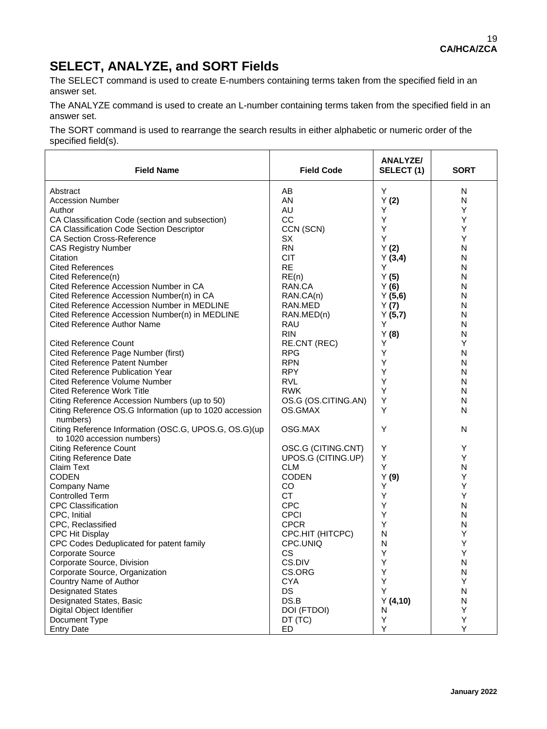# **SELECT, ANALYZE, and SORT Fields**

The SELECT command is used to create E-numbers containing terms taken from the specified field in an answer set.

The ANALYZE command is used to create an L-number containing terms taken from the specified field in an answer set.

The SORT command is used to rearrange the search results in either alphabetic or numeric order of the specified field(s).

| <b>Field Name</b>                                                                   | <b>Field Code</b>   | ANALYZE/<br>SELECT (1) | <b>SORT</b> |
|-------------------------------------------------------------------------------------|---------------------|------------------------|-------------|
| Abstract                                                                            | AВ                  | Y                      | N           |
| <b>Accession Number</b>                                                             | AN                  | Y(2)                   | N           |
| Author                                                                              | AU                  | Υ                      | Υ           |
| CA Classification Code (section and subsection)                                     | CC                  | Υ                      | Υ           |
| CA Classification Code Section Descriptor                                           | CCN (SCN)           | Υ                      | Υ           |
| <b>CA Section Cross-Reference</b>                                                   | <b>SX</b>           | Υ                      | Y           |
| <b>CAS Registry Number</b>                                                          | <b>RN</b>           | Y(2)                   | N           |
| Citation                                                                            | <b>CIT</b>          |                        | N           |
| <b>Cited References</b>                                                             | <b>RE</b>           | Y(3,4)<br>Y            | N           |
|                                                                                     | RE(n)               |                        | N           |
| Cited Reference(n)                                                                  |                     | Y(5)                   |             |
| Cited Reference Accession Number in CA                                              | RAN.CA              | Y(6)                   | N           |
| Cited Reference Accession Number(n) in CA                                           | RAN.CA(n)           | Y(5,6)                 | N           |
| Cited Reference Accession Number in MEDLINE                                         | RAN.MED             | Y(7)                   | N           |
| Cited Reference Accession Number(n) in MEDLINE                                      | RAN.MED(n)          | Y(5,7)                 | N           |
| Cited Reference Author Name                                                         | RAU                 | Υ                      | N           |
|                                                                                     | <b>RIN</b>          | Y(8)                   | N           |
| <b>Cited Reference Count</b>                                                        | <b>RE.CNT (REC)</b> | Y                      | Y           |
| Cited Reference Page Number (first)                                                 | <b>RPG</b>          | Y                      | N           |
| <b>Cited Reference Patent Number</b>                                                | <b>RPN</b>          | Υ                      | N           |
| <b>Cited Reference Publication Year</b>                                             | <b>RPY</b>          | Y                      | N           |
| <b>Cited Reference Volume Number</b>                                                | <b>RVL</b>          | Y                      | N           |
| Cited Reference Work Title                                                          | <b>RWK</b>          | Y                      | N           |
| Citing Reference Accession Numbers (up to 50)                                       | OS.G (OS.CITING.AN) | Y                      | N           |
| Citing Reference OS.G Information (up to 1020 accession<br>numbers)                 | OS.GMAX             | Y                      | N           |
| Citing Reference Information (OSC.G, UPOS.G, OS.G)(up<br>to 1020 accession numbers) | OSG.MAX             | Y                      | N           |
| <b>Citing Reference Count</b>                                                       | OSC.G (CITING.CNT)  | Y                      | Y           |
| <b>Citing Reference Date</b>                                                        | UPOS.G (CITING.UP)  | Υ                      | Υ           |
| Claim Text                                                                          | <b>CLM</b>          | Y                      | N           |
| <b>CODEN</b>                                                                        | <b>CODEN</b>        | Y(9)                   | Y           |
| Company Name                                                                        | <b>CO</b>           | Y                      | Υ           |
| <b>Controlled Term</b>                                                              | <b>CT</b>           | Υ                      | Υ           |
| <b>CPC Classification</b>                                                           | <b>CPC</b>          | Y                      | N           |
| CPC, Initial                                                                        | <b>CPCI</b>         | Y                      | N           |
| CPC, Reclassified                                                                   | <b>CPCR</b>         | Y                      | N           |
| <b>CPC Hit Display</b>                                                              | CPC.HIT (HITCPC)    | N                      | Y           |
| CPC Codes Deduplicated for patent family                                            | CPC.UNIQ            | N                      | Y           |
| Corporate Source                                                                    | <b>CS</b>           | Υ                      | Υ           |
| Corporate Source, Division                                                          | CS.DIV              | Υ                      | N           |
| Corporate Source, Organization                                                      | CS.ORG              | Υ                      | N           |
| Country Name of Author                                                              | <b>CYA</b>          | Υ                      | Y           |
| <b>Designated States</b>                                                            | <b>DS</b>           | Υ                      | N           |
| Designated States, Basic                                                            | DS.B                | Y(4,10)                | N           |
| Digital Object Identifier                                                           | DOI (FTDOI)         | N                      | Y           |
| Document Type                                                                       | DT (TC)             | Υ                      | Y           |
| <b>Entry Date</b>                                                                   | ED                  | Υ                      | Y           |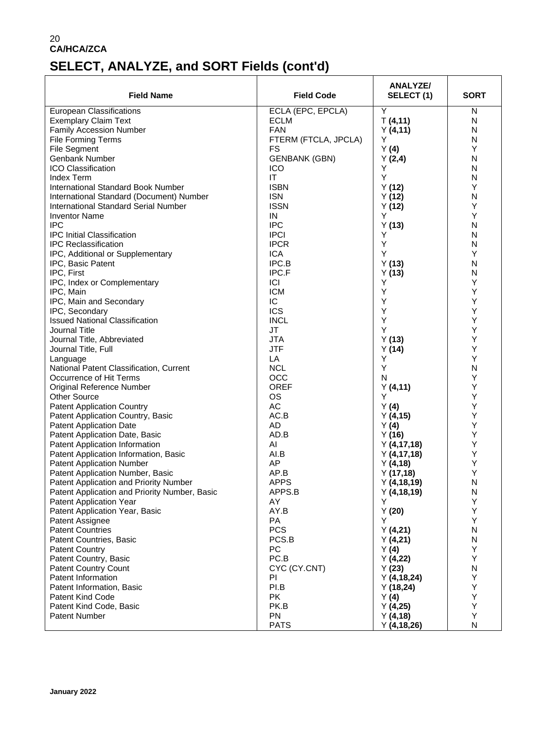# **SELECT, ANALYZE, and SORT Fields (cont'd)**

| <b>Field Name</b>                             | <b>Field Code</b>    | <b>ANALYZE/</b><br>SELECT(1) | <b>SORT</b> |  |
|-----------------------------------------------|----------------------|------------------------------|-------------|--|
| <b>European Classifications</b>               | ECLA (EPC, EPCLA)    | Υ                            | N           |  |
| <b>Exemplary Claim Text</b>                   | <b>ECLM</b>          | T(4,11)                      | N           |  |
| <b>Family Accession Number</b>                | <b>FAN</b>           | Y(4, 11)                     | N           |  |
| <b>File Forming Terms</b>                     | FTERM (FTCLA, JPCLA) | Y                            | N           |  |
| <b>File Segment</b>                           | FS                   | Y(4)                         | Y           |  |
| Genbank Number                                | <b>GENBANK (GBN)</b> | Y(2,4)                       | N           |  |
| <b>ICO Classification</b>                     | <b>ICO</b>           | Y                            | N           |  |
| <b>Index Term</b>                             | IT                   | Υ                            | N           |  |
| <b>International Standard Book Number</b>     | <b>ISBN</b>          | Y(12)                        | Υ           |  |
| International Standard (Document) Number      | <b>ISN</b>           | Y(12)                        | N           |  |
| <b>International Standard Serial Number</b>   | <b>ISSN</b>          | Y(12)                        | Y           |  |
| <b>Inventor Name</b>                          | IN                   | Y                            | Υ           |  |
| <b>IPC</b>                                    | <b>IPC</b>           | Y(13)                        | N           |  |
| <b>IPC Initial Classification</b>             | <b>IPCI</b>          | Υ                            | N           |  |
| <b>IPC Reclassification</b>                   | <b>IPCR</b>          | Y                            | N           |  |
| IPC, Additional or Supplementary              | <b>ICA</b>           | Y                            | Υ           |  |
| IPC, Basic Patent                             | IPC.B                | Y(13)                        | N           |  |
| IPC, First                                    | IPC.F                | Y(13)                        | N           |  |
| IPC, Index or Complementary                   | ICI                  | Y                            | Υ           |  |
| IPC, Main                                     | <b>ICM</b>           | Υ                            | Υ           |  |
| IPC, Main and Secondary                       | IC                   | Υ                            | Υ           |  |
| IPC, Secondary                                | <b>ICS</b>           | Υ                            | Υ           |  |
| <b>Issued National Classification</b>         | <b>INCL</b>          | Y                            | Υ           |  |
| Journal Title                                 | JT                   | Υ                            | Υ           |  |
| Journal Title, Abbreviated                    | <b>JTA</b>           | Y(13)                        | Υ           |  |
| Journal Title, Full                           | <b>JTF</b>           | Y(14)                        | Υ           |  |
| Language                                      | LA                   | Y                            | Υ           |  |
| National Patent Classification, Current       | <b>NCL</b>           | Υ                            | N           |  |
| Occurrence of Hit Terms                       | <b>OCC</b>           | N                            | Υ           |  |
| Original Reference Number                     | <b>OREF</b>          | Y(4, 11)                     | Υ           |  |
| <b>Other Source</b>                           | <b>OS</b>            | Υ                            | Υ           |  |
| <b>Patent Application Country</b>             | <b>AC</b>            | Y(4)                         | Υ           |  |
| Patent Application Country, Basic             | AC.B                 | Y(4,15)                      | Υ           |  |
| <b>Patent Application Date</b>                | <b>AD</b>            | Y(4)                         | Υ           |  |
| Patent Application Date, Basic                | AD.B                 | Y(16)                        | Υ           |  |
| Patent Application Information                | AI                   | Y(4, 17, 18)                 | Υ           |  |
| Patent Application Information, Basic         | AI.B                 | Y(4, 17, 18)                 | Υ           |  |
| <b>Patent Application Number</b>              | AP                   | Y(4,18)                      | Υ           |  |
| Patent Application Number, Basic              | AP.B                 | Y(17,18)                     | Υ           |  |
| Patent Application and Priority Number        | <b>APPS</b>          | Y(4, 18, 19)                 | N           |  |
| Patent Application and Priority Number, Basic | APPS.B               | Y (4,18,19)                  | N           |  |
| <b>Patent Application Year</b>                | AY                   | Y                            | Υ           |  |
| Patent Application Year, Basic                | AY.B                 | Y(20)                        | Υ           |  |
| Patent Assignee                               | PA                   | Y                            | Υ           |  |
| <b>Patent Countries</b>                       | <b>PCS</b>           | Y(4,21)                      | N           |  |
| Patent Countries, Basic                       | PCS.B                | Y(4,21)                      | N           |  |
| <b>Patent Country</b>                         | PC                   | Y(4)                         | Υ           |  |
| Patent Country, Basic                         | PC.B                 | Y(4,22)                      | Υ           |  |
| <b>Patent Country Count</b>                   | CYC (CY.CNT)         | Y(23)                        | N           |  |
| Patent Information                            | PI                   | Y(4, 18, 24)                 | Υ           |  |
| Patent Information, Basic                     | PI.B                 | Y(18,24)                     | Υ           |  |
| Patent Kind Code                              | <b>PK</b>            | Y(4)                         | Υ           |  |
| Patent Kind Code, Basic                       | PK.B                 | Y(4,25)                      | Υ           |  |
| Patent Number                                 | PN                   | Y(4, 18)                     | Υ           |  |
|                                               | <b>PATS</b>          | Y(4, 18, 26)                 | N           |  |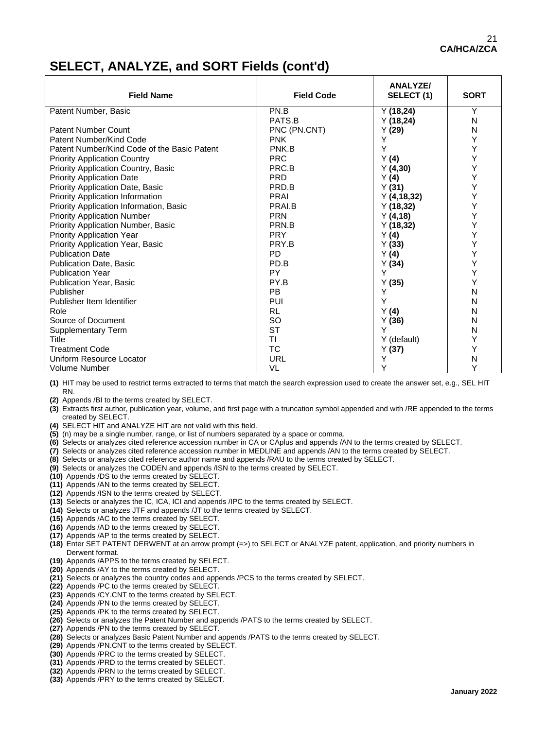#### **SELECT, ANALYZE, and SORT Fields (cont'd)**

| <b>Field Name</b>                           | <b>Field Code</b> | <b>ANALYZE/</b><br>SELECT(1) | <b>SORT</b>  |
|---------------------------------------------|-------------------|------------------------------|--------------|
| Patent Number, Basic                        | PN.B              | Y(18,24)                     | Υ            |
|                                             | PATS.B            | Y(18,24)                     | N            |
| <b>Patent Number Count</b>                  | PNC (PN.CNT)      | Y(29)                        | N            |
| Patent Number/Kind Code                     | <b>PNK</b>        | Υ                            | Y            |
| Patent Number/Kind Code of the Basic Patent | PNK.B             | Y                            | Υ            |
| <b>Priority Application Country</b>         | <b>PRC</b>        | Y(4)                         | Y            |
| Priority Application Country, Basic         | PRC.B             | Y(4,30)                      | Υ            |
| <b>Priority Application Date</b>            | <b>PRD</b>        | Y(4)                         | Υ            |
| <b>Priority Application Date, Basic</b>     | PRD.B             | Y(31)                        | Υ            |
| <b>Priority Application Information</b>     | PRAI              | Y(4, 18, 32)                 | Y            |
| Priority Application Information, Basic     | PRAI.B            | Y(18,32)                     | Υ            |
| <b>Priority Application Number</b>          | <b>PRN</b>        | Y(4, 18)                     | Y            |
| Priority Application Number, Basic          | PRN.B             | Y(18,32)                     | Υ            |
| <b>Priority Application Year</b>            | <b>PRY</b>        | Y(4)                         | Y            |
| Priority Application Year, Basic            | PRY.B             | Y(33)                        | Υ            |
| <b>Publication Date</b>                     | <b>PD</b>         | Y(4)                         | Υ            |
| <b>Publication Date, Basic</b>              | PD.B              | Y(34)                        | Y            |
| <b>Publication Year</b>                     | <b>PY</b>         | Y                            | Y            |
| Publication Year, Basic                     | PY.B              | Y(35)                        | Y            |
| Publisher                                   | PB                | Y                            | N            |
| Publisher Item Identifier                   | PUI               | Y                            | N            |
| Role                                        | <b>RL</b>         | Y(4)                         | Ν            |
| Source of Document                          | <b>SO</b>         | Y(36)                        | N            |
| <b>Supplementary Term</b>                   | <b>ST</b>         | Y                            | Ν            |
| Title                                       | ΤI                | Y (default)                  | Y            |
| <b>Treatment Code</b>                       | <b>TC</b>         | Y(37)                        | Υ            |
| Uniform Resource Locator                    | <b>URL</b>        | Υ                            | $\mathsf{N}$ |
| Volume Number                               | VL                | Y                            | Υ            |

**(1)** HIT may be used to restrict terms extracted to terms that match the search expression used to create the answer set, e.g., SEL HIT RN.

**(2)** Appends /BI to the terms created by SELECT.

- **(3)** Extracts first author, publication year, volume, and first page with a truncation symbol appended and with /RE appended to the terms created by SELECT.
- **(4)** SELECT HIT and ANALYZE HIT are not valid with this field.
- **(5)** (n) may be a single number, range, or list of numbers separated by a space or comma.
- **(6)** Selects or analyzes cited reference accession number in CA or CAplus and appends /AN to the terms created by SELECT.
- **(7)** Selects or analyzes cited reference accession number in MEDLINE and appends /AN to the terms created by SELECT.
- **(8)** Selects or analyzes cited reference author name and appends /RAU to the terms created by SELECT.
- **(9)** Selects or analyzes the CODEN and appends /ISN to the terms created by SELECT.
- **(10)** Appends /DS to the terms created by SELECT.
- **(11)** Appends /AN to the terms created by SELECT.
- **(12)** Appends /ISN to the terms created by SELECT.
- **(13)** Selects or analyzes the IC, ICA, ICI and appends /IPC to the terms created by SELECT.
- **(14)** Selects or analyzes JTF and appends /JT to the terms created by SELECT.
- **(15)** Appends /AC to the terms created by SELECT.
- **(16)** Appends /AD to the terms created by SELECT.
- **(17)** Appends /AP to the terms created by SELECT.
- **(18)** Enter SET PATENT DERWENT at an arrow prompt (=>) to SELECT or ANALYZE patent, application, and priority numbers in Derwent format.
- **(19)** Appends /APPS to the terms created by SELECT.
- **(20)** Appends /AY to the terms created by SELECT.
- **(21)** Selects or analyzes the country codes and appends /PCS to the terms created by SELECT.
- **(22)** Appends /PC to the terms created by SELECT.
- **(23)** Appends /CY.CNT to the terms created by SELECT.
- **(24)** Appends /PN to the terms created by SELECT.
- **(25)** Appends /PK to the terms created by SELECT. **(26)** Selects or analyzes the Patent Number and appends /PATS to the terms created by SELECT.
- **(27)** Appends /PN to the terms created by SELECT.
- 
- **(28)** Selects or analyzes Basic Patent Number and appends /PATS to the terms created by SELECT.
- **(29)** Appends /PN.CNT to the terms created by SELECT.
- **(30)** Appends /PRC to the terms created by SELECT.
- **(31)** Appends /PRD to the terms created by SELECT.
- **(32)** Appends /PRN to the terms created by SELECT.
- **(33)** Appends /PRY to the terms created by SELECT.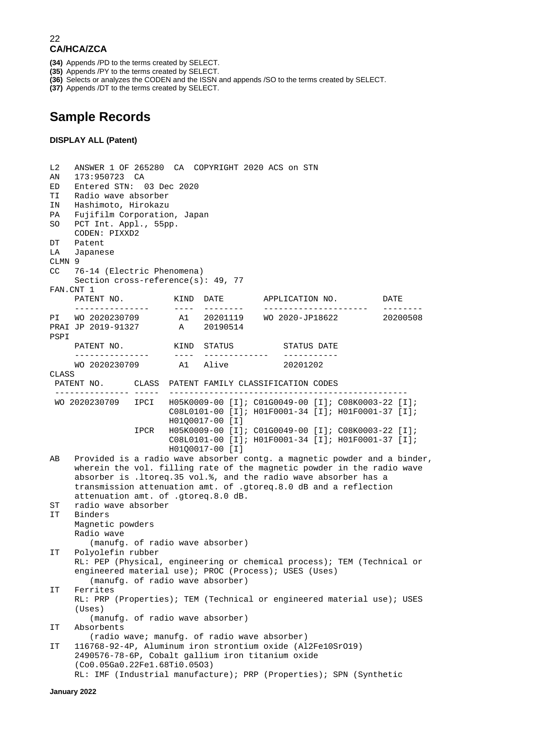- **(34)** Appends /PD to the terms created by SELECT.
- **(35)** Appends /PY to the terms created by SELECT.
- **(36)** Selects or analyzes the CODEN and the ISSN and appends /SO to the terms created by SELECT.
- **(37)** Appends /DT to the terms created by SELECT.

### **Sample Records**

#### **DISPLAY ALL (Patent)**

L2 ANSWER 1 OF 265280 CA COPYRIGHT 2020 ACS on STN AN 173:950723 CA ED Entered STN: 03 Dec 2020 TI Radio wave absorber IN Hashimoto, Hirokazu PA Fujifilm Corporation, Japan<br>SO PCT Int. Appl., 55pp. PCT Int. Appl., 55pp. CODEN: PIXXD2<br>DT Patent DT Patent<br>LA Japane LA Japanese  $CLMN$  9<br>CC 76 76-14 (Electric Phenomena) Section cross-reference(s): 49, 77 FAN.CNT 1<br>PATENT NO. PATENT NO. KIND DATE APPLICATION NO. DATE PI WO 2020230709 A1 20201119 WO 2020-JP18622 20200508<br>20200508 A1 20201119 WO 2020-JP18622 A1 20201119 WO 2020-JP18622<br>A 20190514 PRAI JP 2019-91327 PSPI PATENT NO. KIND STATUS STATUS DATE --------------- ---- ------------- ----------- WO 2020230709 CLASS<br>PATENT NO. PATENT NO. CLASS PATENT FAMILY CLASSIFICATION CODES --------------- ----- ------------------------------------------------ WO 2020230709 IPCI H05K0009-00 [I]; C01G0049-00 [I]; C08K0003-22 [I]; C08L0101-00 [I]; H01F0001-34 [I]; H01F0001-37 [I]; H01Q0017-00 [I]<br>IPCR H05K0009-00 [I] IPCR H05K0009-00 [I]; C01G0049-00 [I]; C08K0003-22 [I]; C08L0101-00 [I]; H01F0001-34 [I]; H01F0001-37 [I]; H01Q0017-00 [I]<br>AB Provided is a radio wave absorber Provided is a radio wave absorber contg. a magnetic powder and a binder, wherein the vol. filling rate of the magnetic powder in the radio wave absorber is .ltoreq.35 vol.%, and the radio wave absorber has a transmission attenuation amt. of .gtoreq.8.0 dB and a reflection attenuation amt. of .gtoreq.8.0 dB.<br>ST radio wave absorber ST radio wave absorber<br>IT Binders Binders Magnetic powders Radio wave (manufg. of radio wave absorber)<br>IT Polyolefin rubber Polyolefin rubber RL: PEP (Physical, engineering or chemical process); TEM (Technical or engineered material use); PROC (Process); USES (Uses) (manufg. of radio wave absorber)<br>IT Ferrites Ferrites RL: PRP (Properties); TEM (Technical or engineered material use); USES (Uses) (manufg. of radio wave absorber)<br>IT Absorbents Absorbents (radio wave; manufg. of radio wave absorber)<br>IT 116768-92-4P. Aluminum iron strontium oxide (Al IT 116768-92-4P, Aluminum iron strontium oxide (Al2Fe10SrO19) 2490576-78-6P, Cobalt gallium iron titanium oxide (Co0.05Ga0.22Fe1.68Ti0.05O3) RL: IMF (Industrial manufacture); PRP (Properties); SPN (Synthetic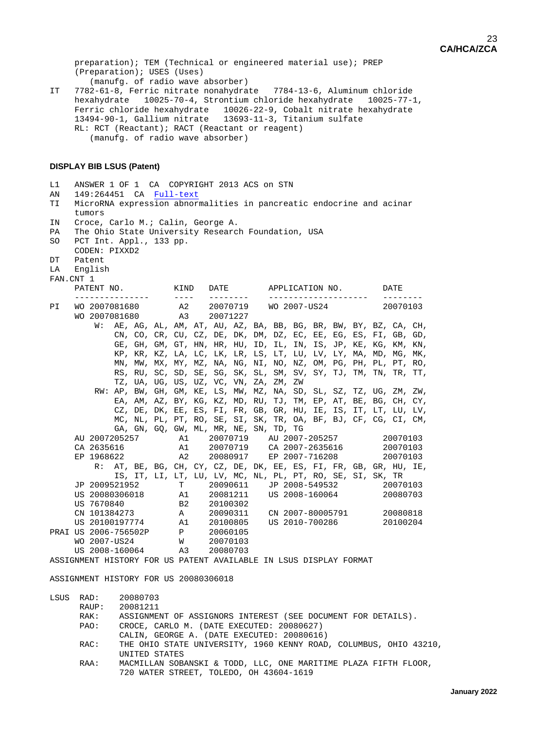preparation); TEM (Technical or engineered material use); PREP (Preparation); USES (Uses) (manufg. of radio wave absorber)<br>IT 7782-61-8. Ferric nitrate nonahydra IT 7782-61-8, Ferric nitrate nonahydrate 7784-13-6, Aluminum chloride hexahydrate 10025-70-4, Strontium chloride hexahydrate 10025-77-1, Ferric chloride hexahydrate 10026-22-9, Cobalt nitrate hexahydrate 13494-90-1, Gallium nitrate 13693-11-3, Titanium sulfate RL: RCT (Reactant); RACT (Reactant or reagent)

(manufg. of radio wave absorber)

#### **DISPLAY BIB LSUS (Patent)**

L1 ANSWER 1 OF 1 CA COPYRIGHT 2013 ACS on STN<br>AN 149:264451 CA Full-text AN 149:264451 CA Full-text<br>TI MicroRNA expression abnor MicroRNA expression abnormalities in pancreatic endocrine and acinar tumors<br>IN Croce. Croce, Carlo M.; Calin, George A. PA The Ohio State University Research Foundation, USA<br>SO PCT Int. Appl. 133 pp. PCT Int. Appl., 133 pp. CODEN: PIXXD2<br>DT Patent DT Patent<br>LA Englis English FAN.CNT 1<br>PATENT NO. PATENT NO. KIND DATE APPLICATION NO. DATE --------------- ---- -------- -------------------- -------- PI WO 2007081680 A2 20070719 WO 2007-US24 20070103 WO 2007081680 A3 20071227 W: AE, AG, AL, AM, AT, AU, AZ, BA, BB, BG, BR, BW, BY, BZ, CA, CH, CN, CO, CR, CU, CZ, DE, DK, DM, DZ, EC, EE, EG, ES, FI, GB, GD, GE, GH, GM, GT, HN, HR, HU, ID, IL, IN, IS, JP, KE, KG, KM, KN, KP, KR, KZ, LA, LC, LK, LR, LS, LT, LU, LV, LY, MA, MD, MG, MK, MN, MW, MX, MY, MZ, NA, NG, NI, NO, NZ, OM, PG, PH, PL, PT, RO, RS, RU, SC, SD, SE, SG, SK, SL, SM, SV, SY, TJ, TM, TN, TR, TT, TZ, UA, UG, US, UZ, VC, VN, ZA, ZM, ZW RW: AP, BW, GH, GM, KE, LS, MW, MZ, NA, SD, SL, SZ, TZ, UG, ZM, ZW, EA, AM, AZ, BY, KG, KZ, MD, RU, TJ, TM, EP, AT, BE, BG, CH, CY, CZ, DE, DK, EE, ES, FI, FR, GB, GR, HU, IE, IS, IT, LT, LU, LV, MC, NL, PL, PT, RO, SE, SI, SK, TR, OA, BF, BJ, CF, CG, CI, CM, GA, GN, GQ, GW, ML, MR, NE, SN, TD, TG AU 2007205257 A1 20070719 AU 2007-205257 20070103 CA 2635616 A1 20070719 CA 2007-2635616 20070103 EP 2007-716208 R: AT, BE, BG, CH, CY, CZ, DE, DK, EE, ES, FI, FR, GB, GR, HU, IE, IS, IT, LI, LT, LU, LV, MC, NL, PL, PT, RO, SE, SI, SK, TR<br>JP 2009521952 T 20090611 JP 2008-549532 20070103 JP 2009521952 T 20090611 JP 2008-549532 20070103 US 20080306018  $\overline{a}$  A1 20081211 US 2008-160064<br>US 7670840  $\overline{a}$  B2 20100302 US 7670840 B2 20100302<br>
CN 101384273 A 20090311 CN 101384273 A 20090311 CN 2007-80005791 20080818 A1 20100805 US 2010-700286<br>P 20060105 PRAI US 2006-756502P P 20060105<br>WO 2007-US24 W 20070103 WO 2007-US24 W 20070103 US 2008-160064 A3 20080703 ASSIGNMENT HISTORY FOR US PATENT AVAILABLE IN LSUS DISPLAY FORMAT

ASSIGNMENT HISTORY FOR US 20080306018

LSUS RAD: 20080703<br>RAUP: 20081211 RAUP: 20081211<br>RAK: ASSIGNME RAK: ASSIGNMENT OF ASSIGNORS INTEREST (SEE DOCUMENT FOR DETAILS).<br>PAO: CROCE CARLO M (DATE EXECUTED: 20080627) CROCE, CARLO M. (DATE EXECUTED: 20080627) CALIN, GEORGE A. (DATE EXECUTED: 20080616) RAC: THE OHIO STATE UNIVERSITY, 1960 KENNY ROAD, COLUMBUS, OHIO 43210, UNITED STATES<br>RAA: MACMILLAN SOB MACMILLAN SOBANSKI & TODD, LLC, ONE MARITIME PLAZA FIFTH FLOOR, 720 WATER STREET, TOLEDO, OH 43604-1619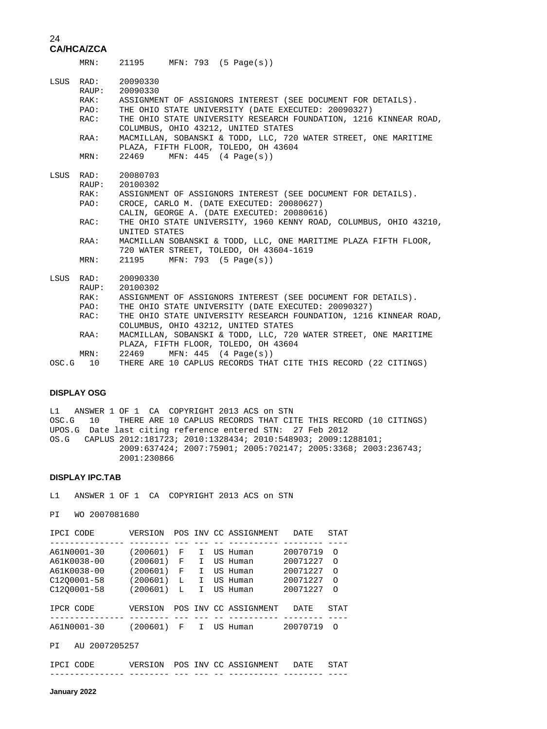|            |                                      | MRN: 21195 MFN: 793 (5 Page(s))                                                                                                                                                                                                                                                                                                                                                                                  |
|------------|--------------------------------------|------------------------------------------------------------------------------------------------------------------------------------------------------------------------------------------------------------------------------------------------------------------------------------------------------------------------------------------------------------------------------------------------------------------|
|            | RAK:<br>PAO:<br>RAC:<br>RAA:<br>MRN: | LSUS RAD: 20090330<br>RAUP: 20090330<br>ASSIGNMENT OF ASSIGNORS INTEREST (SEE DOCUMENT FOR DETAILS).<br>THE OHIO STATE UNIVERSITY (DATE EXECUTED: 20090327)<br>THE OHIO STATE UNIVERSITY RESEARCH FOUNDATION, 1216 KINNEAR ROAD,<br>COLUMBUS, OHIO 43212, UNITED STATES<br>MACMILLAN, SOBANSKI & TODD, LLC, 720 WATER STREET, ONE MARITIME<br>PLAZA, FIFTH FLOOR, TOLEDO, OH 43604<br>22469 MFN: 445 (4 Page(s)) |
|            | RAK:<br>PAO:                         | LSUS RAD: 20080703<br>RAUP: 20100302<br>ASSIGNMENT OF ASSIGNORS INTEREST (SEE DOCUMENT FOR DETAILS).<br>CROCE, CARLO M. (DATE EXECUTED: 20080627)<br>CALIN, GEORGE A. (DATE EXECUTED: 20080616)                                                                                                                                                                                                                  |
|            | RAC:                                 | THE OHIO STATE UNIVERSITY, 1960 KENNY ROAD, COLUMBUS, OHIO 43210,<br>UNITED STATES                                                                                                                                                                                                                                                                                                                               |
|            | RAA:                                 | MACMILLAN SOBANSKI & TODD, LLC, ONE MARITIME PLAZA FIFTH FLOOR,<br>720 WATER STREET, TOLEDO, OH 43604-1619                                                                                                                                                                                                                                                                                                       |
|            | MRN:                                 | 21195 MFN: 793 (5 Page(s))                                                                                                                                                                                                                                                                                                                                                                                       |
|            | RAK:                                 | LSUS RAD: 20090330<br>RAUP: 20100302<br>ASSIGNMENT OF ASSIGNORS INTEREST (SEE DOCUMENT FOR DETAILS).                                                                                                                                                                                                                                                                                                             |
|            | PAO:                                 | THE OHIO STATE UNIVERSITY (DATE EXECUTED: 20090327)                                                                                                                                                                                                                                                                                                                                                              |
|            | RAC:                                 | THE OHIO STATE UNIVERSITY RESEARCH FOUNDATION, 1216 KINNEAR ROAD,<br>COLUMBUS, OHIO 43212, UNITED STATES                                                                                                                                                                                                                                                                                                         |
|            | RAA:                                 | MACMILLAN, SOBANSKI & TODD, LLC, 720 WATER STREET, ONE MARITIME<br>PLAZA, FIFTH FLOOR, TOLEDO, OH 43604                                                                                                                                                                                                                                                                                                          |
|            | MRN:                                 | 22469<br>MFN: 445 (4 Page(s))                                                                                                                                                                                                                                                                                                                                                                                    |
| $OSC.G$ 10 |                                      | THERE ARE 10 CAPLUS RECORDS THAT CITE THIS RECORD (22 CITINGS)                                                                                                                                                                                                                                                                                                                                                   |

#### **DISPLAY OSG**

L1 ANSWER 1 OF 1 CA COPYRIGHT 2013 ACS on STN OSC.G 10 THERE ARE 10 CAPLUS RECORDS THAT CITE THIS RECORD (10 CITINGS) UPOS.G Date last citing reference entered STN: 27 Feb 2012 OS.G CAPLUS 2012:181723; 2010:1328434; 2010:548903; 2009:1288101; 2009:637424; 2007:75901; 2005:702147; 2005:3368; 2003:236743; 2001:230866

#### **DISPLAY IPC.TAB**

L1 ANSWER 1 OF 1 CA COPYRIGHT 2013 ACS on STN

PI WO 2007081680

| IPCI CODE   | VERSION  |   |    | POS INV CC ASSIGNMENT | <b>DATE</b> | <b>STAT</b> |
|-------------|----------|---|----|-----------------------|-------------|-------------|
|             |          |   |    |                       |             |             |
| A61N0001-30 | (200601) | F | т  | US Human              | 20070719    | $\Omega$    |
| A61K0038-00 | (200601) | F | т  | US Human              | 20071227    | ∩           |
| A61K0038-00 | (200601) | F | т  | US Human              | 20071227    | ∩           |
| C1200001-58 | (200601) | L | T. | US Human              | 20071227    | $\Omega$    |
| C1200001-58 | (200601) | L | т  | US Human              | 20071227    | $\Omega$    |
| IPCR CODE   | VERSION  |   |    | POS INV CC ASSIGNMENT | <b>DATE</b> | <b>STAT</b> |
|             |          |   |    |                       |             |             |
| A61N0001-30 | (200601) | F | т  | US Human              | 20070719    | ∩           |
|             |          |   |    |                       |             |             |

PI AU 2007205257

| IPCI CODE | VERSION |  | POS INV CC ASSIGNMENT | DATE | STAT |
|-----------|---------|--|-----------------------|------|------|
|           |         |  |                       |      |      |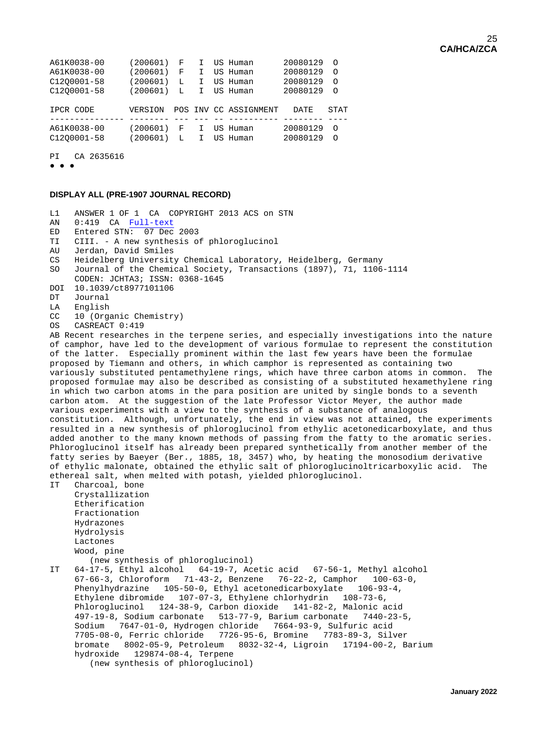| A61K0038-00 | (200601) | F | I.           | US Human              | 20080129    | $\circ$  |
|-------------|----------|---|--------------|-----------------------|-------------|----------|
| A61K0038-00 | (200601) | F | I.           | US Human              | 20080129    | $\Omega$ |
| C1200001-58 | (200601) | L | I.           | US Human              | 20080129    | $\Omega$ |
| C1200001-58 | (200601) | L | $\mathbf{I}$ | US Human              | 20080129    | $\Omega$ |
|             |          |   |              |                       |             |          |
| IPCR CODE   | VERSION  |   |              | POS INV CC ASSIGNMENT | <b>DATE</b> | STAT     |
|             |          |   |              |                       |             |          |
| A61K0038-00 | (200601) | F | I.           | US Human              | 20080129    | $\Omega$ |
| C1200001-58 | (200601) | L | I.           | US Human              | 20080129    | $\Omega$ |
|             |          |   |              |                       |             |          |

PI CA 2635616

● ● ●

#### **DISPLAY ALL (PRE-1907 JOURNAL RECORD)**

L1 ANSWER 1 OF 1 CA COPYRIGHT 2013 ACS on STN<br>AN 0:419 CA Full-text

- AN 0:419 CA [Full-text](http://chemport.cas.org/cgi-bin/ex_sdcgi?t5knGkdYURs4mlMENyi78OsakmiuGeYZFFvhrInjFOAwdGu1qLyoZ34z1MOE4JJ7cg4hWThgIB6Im7nao1iKaO51ne5r8Lwgxp4eVWOdFSO73ZHMDhP05aTwBCweerOwijJF3FfW_DQSIJU5ZJKNa@rc5ShP1lwOJcUa@yUc7ccdnQcZ3jY)<br>ED Entered STN: 07 Dec Entered STN: 07 Dec 2003
- TI CIII. A new synthesis of phloroglucinol
- AU Jerdan, David Smiles<br>CS Heidelberg University
- CS Heidelberg University Chemical Laboratory, Heidelberg, Germany
- Journal of the Chemical Society, Transactions (1897), 71, 1106-1114
- CODEN: JCHTA3; ISSN: 0368-1645
- DOI 10.1039/ct8977101106<br>DT Journal
- DT Journal<br>LA English
- LA English<br>CC 10 (Orga
- CC 10 (Organic Chemistry)<br>OS CASREACT 0:419
- CASREACT 0:419

AB Recent researches in the terpene series, and especially investigations into the nature of camphor, have led to the development of various formulae to represent the constitution of the latter. Especially prominent within the last few years have been the formulae proposed by Tiemann and others, in which camphor is represented as containing two variously substituted pentamethylene rings, which have three carbon atoms in common. The proposed formulae may also be described as consisting of a substituted hexamethylene ring in which two carbon atoms in the para position are united by single bonds to a seventh carbon atom. At the suggestion of the late Professor Victor Meyer, the author made various experiments with a view to the synthesis of a substance of analogous constitution. Although, unfortunately, the end in view was not attained, the experiments resulted in a new synthesis of phloroglucinol from ethylic acetonedicarboxylate, and thus added another to the many known methods of passing from the fatty to the aromatic series. Phloroglucinol itself has already been prepared synthetically from another member of the fatty series by Baeyer (Ber., 1885, 18, 3457) who, by heating the monosodium derivative of ethylic malonate, obtained the ethylic salt of phloroglucinoltricarboxylic acid. The ethereal salt, when melted with potash, yielded phloroglucinol.<br>IT Charcoal, bone

Charcoal, bone Crystallization Etherification Fractionation Hydrazones Hydrolysis Lactones Wood, pine

(new synthesis of phloroglucinol)<br>TT 64-17-5, Ethyl alcohol 64-19-7, Ac

 $64-17-5$ , Ethyl alcohol  $64-19-7$ , Acetic acid  $67-56-1$ , Methyl alcohol 67-66-3, Chloroform 71-43-2, Benzene 76-22-2, Camphor 100-63-0, Phenylhydrazine 105-50-0, Ethyl acetonedicarboxylate 106-93-4, Ethylene dibromide 107-07-3, Ethylene chlorhydrin 108-73-6, Phloroglucinol 124-38-9, Carbon dioxide 141-82-2, Malonic acid 497-19-8, Sodium carbonate 513-77-9, Barium carbonate 7440-23-5, Sodium 7647-01-0, Hydrogen chloride 7664-93-9, Sulfuric acid 7705-08-0, Ferric chloride 7726-95-6, Bromine 7783-89-3, Silver bromate 8002-05-9, Petroleum 8032-32-4, Ligroin 17194-00-2, Barium hydroxide 129874-08-4, Terpene (new synthesis of phloroglucinol)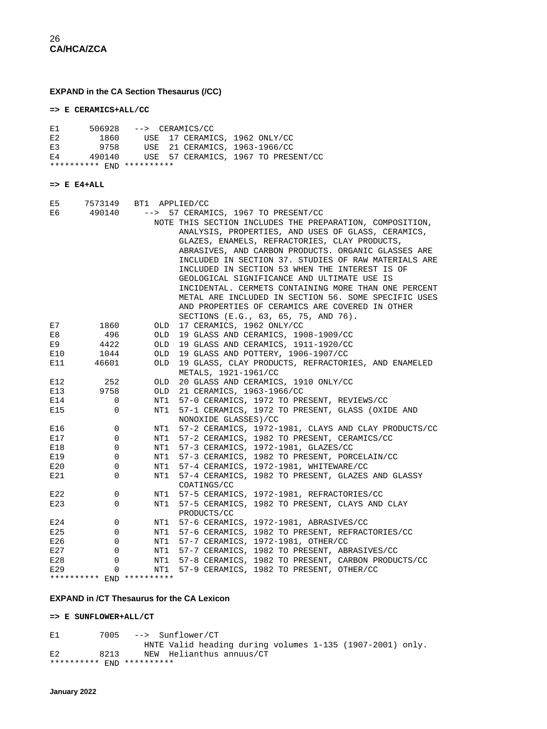**EXPAND in the CA Section Thesaurus (/CC)**

**=> E CERAMICS+ALL/CC** 

| Е1 |                           | $506928$ --> CERAMICS/CC |                               |  |                                     |
|----|---------------------------|--------------------------|-------------------------------|--|-------------------------------------|
| E2 | 1860                      |                          | USE 17 CERAMICS, 1962 ONLY/CC |  |                                     |
| E3 | 9758                      |                          | USE 21 CERAMICS, 1963-1966/CC |  |                                     |
| E4 | 490140                    |                          |                               |  | USE 57 CERAMICS, 1967 TO PRESENT/CC |
|    | ********** FND ********** |                          |                               |  |                                     |

#### **=> E E4+ALL**

| E5  | 7573149                   | BT1 APPLIED/CC |                                                          |
|-----|---------------------------|----------------|----------------------------------------------------------|
| E6  | 490140                    | $--&>$         | 57 CERAMICS, 1967 TO PRESENT/CC                          |
|     |                           |                | NOTE THIS SECTION INCLUDES THE PREPARATION, COMPOSITION, |
|     |                           |                | ANALYSIS, PROPERTIES, AND USES OF GLASS, CERAMICS,       |
|     |                           |                | GLAZES, ENAMELS, REFRACTORIES, CLAY PRODUCTS,            |
|     |                           |                | ABRASIVES, AND CARBON PRODUCTS. ORGANIC GLASSES ARE      |
|     |                           |                | INCLUDED IN SECTION 37. STUDIES OF RAW MATERIALS ARE     |
|     |                           |                | INCLUDED IN SECTION 53 WHEN THE INTEREST IS OF           |
|     |                           |                | GEOLOGICAL SIGNIFICANCE AND ULTIMATE USE IS              |
|     |                           |                | INCIDENTAL. CERMETS CONTAINING MORE THAN ONE PERCENT     |
|     |                           |                | METAL ARE INCLUDED IN SECTION 56. SOME SPECIFIC USES     |
|     |                           |                | AND PROPERTIES OF CERAMICS ARE COVERED IN OTHER          |
|     |                           |                | SECTIONS (E.G., 63, 65, 75, AND 76).                     |
| E7  | 1860                      | OLD            | 17 CERAMICS, 1962 ONLY/CC                                |
| E8  | 496                       | OLD.           | 19 GLASS AND CERAMICS, 1908-1909/CC                      |
| E9  | 4422                      | OLD            | 19 GLASS AND CERAMICS, 1911-1920/CC                      |
| E10 | 1044                      | OLD            | 19 GLASS AND POTTERY, 1906-1907/CC                       |
| E11 | 46601                     | <b>OLD</b>     | 19 GLASS, CLAY PRODUCTS, REFRACTORIES, AND ENAMELED      |
|     |                           |                | METALS, 1921-1961/CC                                     |
| E12 | 252                       | OLD            | 20 GLASS AND CERAMICS, 1910 ONLY/CC                      |
| E13 | 9758                      | OLD.           | 21 CERAMICS, 1963-1966/CC                                |
| E14 | 0                         | NT1            | 57-0 CERAMICS, 1972 TO PRESENT, REVIEWS/CC               |
| E15 | 0                         | NT1            | 57-1 CERAMICS, 1972 TO PRESENT, GLASS (OXIDE AND         |
|     |                           |                | NONOXIDE GLASSES)/CC                                     |
| E16 | 0                         | NT1            | 57-2 CERAMICS, 1972-1981, CLAYS AND CLAY PRODUCTS/CC     |
| E17 | 0                         | NT1            | 57-2 CERAMICS, 1982 TO PRESENT, CERAMICS/CC              |
| E18 | 0                         | NT1            | 57-3 CERAMICS, 1972-1981, GLAZES/CC                      |
| E19 | 0                         | NT1            | 57-3 CERAMICS, 1982 TO PRESENT, PORCELAIN/CC             |
| E20 | $\mathbf 0$               | NT1            | 57-4 CERAMICS, 1972-1981, WHITEWARE/CC                   |
| E21 | 0                         | NT1            | 57-4 CERAMICS, 1982 TO PRESENT, GLAZES AND GLASSY        |
|     |                           |                | COATINGS/CC                                              |
| E22 | 0                         | NT1            | 57-5 CERAMICS, 1972-1981, REFRACTORIES/CC                |
| E23 | $\Omega$                  | NT1            | 57-5 CERAMICS, 1982 TO PRESENT, CLAYS AND CLAY           |
|     |                           |                | PRODUCTS/CC                                              |
| E24 | 0                         | NT1            | 57-6 CERAMICS, 1972-1981, ABRASIVES/CC                   |
| E25 | 0                         | NT1            | 57-6 CERAMICS, 1982 TO PRESENT, REFRACTORIES/CC          |
| E26 | 0                         | NT1            | 57-7 CERAMICS, 1972-1981, OTHER/CC                       |
| E27 | 0                         | NT1            | 57-7 CERAMICS, 1982 TO PRESENT, ABRASIVES/CC             |
| E28 | $\Omega$                  | NT1            | 57-8 CERAMICS, 1982 TO PRESENT, CARBON PRODUCTS/CC       |
| E29 | 0                         | NT1            | 57-9 CERAMICS, 1982 TO PRESENT, OTHER/CC                 |
|     | ********** END ********** |                |                                                          |

#### **EXPAND in /CT Thesaurus for the CA Lexicon**

**=> E SUNFLOWER+ALL/CT** 

E1 7005 --> Sunflower/CT HNTE Valid heading during volumes 1-135 (1907-2001) only. E2 8213 NEW Helianthus annuus/CT \*\*\*\*\*\*\*\*\*\* END \*\*\*\*\*\*\*\*\*\*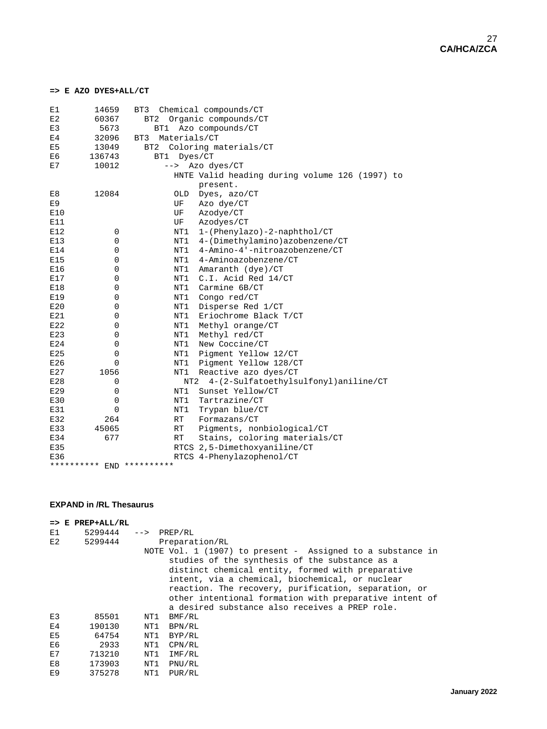#### **=> E AZO DYES+ALL/CT**

| E1                        | 14659                     | BT3             | Chemical compounds/CT                          |  |  |  |
|---------------------------|---------------------------|-----------------|------------------------------------------------|--|--|--|
| E2                        | 60367                     | BT2             | Organic compounds/CT                           |  |  |  |
| E3                        | 5673                      | BT1             | Azo compounds/CT                               |  |  |  |
| E <sub>4</sub>            | 32096                     | BT3             | Materials/CT                                   |  |  |  |
| E <sub>5</sub>            | 13049                     | BT <sub>2</sub> | Coloring materials/CT                          |  |  |  |
| E6                        | 136743                    | BT1<br>Dyes/CT  |                                                |  |  |  |
| $\mathop{\hbox{\rm E}} 7$ | 10012                     | $-->$           | Azo dyes/CT                                    |  |  |  |
|                           |                           |                 | HNTE Valid heading during volume 126 (1997) to |  |  |  |
|                           |                           |                 | present.                                       |  |  |  |
| E8                        | 12084                     | OLD             | Dyes, azo/CT                                   |  |  |  |
| E9                        |                           | UF              | Azo dye/CT                                     |  |  |  |
| E10                       |                           | UF              | Azodye/CT                                      |  |  |  |
| E11                       |                           | UF              | Azodyes/CT                                     |  |  |  |
| E12                       | 0                         | NT1             | 1-(Phenylazo)-2-naphthol/CT                    |  |  |  |
| E13                       | 0                         | NT1             | 4-(Dimethylamino)azobenzene/CT                 |  |  |  |
| E14                       | 0                         | NT1             | 4-Amino-4'-nitroazobenzene/CT                  |  |  |  |
| E15                       | 0                         | NT1             | 4-Aminoazobenzene/CT                           |  |  |  |
| E16                       | 0                         | NT1             | Amaranth (dye)/CT                              |  |  |  |
| E17                       | 0                         | NT1             | C.I. Acid Red 14/CT                            |  |  |  |
| E18                       | 0                         | NT1             | Carmine 6B/CT                                  |  |  |  |
| E19                       | 0                         | NT1             | Congo red/CT                                   |  |  |  |
| E20                       | 0                         | NT1             | Disperse Red 1/CT                              |  |  |  |
| E21                       | 0                         | NT1             | Eriochrome Black T/CT                          |  |  |  |
| E22                       | 0                         | NT1             | Methyl orange/CT                               |  |  |  |
| E23                       | 0                         | NT1             | Methyl red/CT                                  |  |  |  |
| E24                       | 0                         | NT1             | New Coccine/CT                                 |  |  |  |
| E25                       | 0                         | NT1             | Pigment Yellow 12/CT                           |  |  |  |
| E26                       | 0                         | NT1             | Pigment Yellow 128/CT                          |  |  |  |
| E27                       | 1056                      | NT1             | Reactive azo dyes/CT                           |  |  |  |
| E28                       | 0                         | NT2             | 4-(2-Sulfatoethylsulfonyl)aniline/CT           |  |  |  |
| E29                       | 0                         | NT1             | Sunset Yellow/CT                               |  |  |  |
| E30                       | 0                         | NT1             | Tartrazine/CT                                  |  |  |  |
| E31                       | 0                         | NT1             | Trypan blue/CT                                 |  |  |  |
| E32                       | 264                       | RT              | Formazans/CT                                   |  |  |  |
| E33                       | 45065                     | RT              | Pigments, nonbiological/CT                     |  |  |  |
| E34                       | 677                       | RT              | Stains, coloring materials/CT                  |  |  |  |
| E35                       |                           |                 | RTCS 2,5-Dimethoxyaniline/CT                   |  |  |  |
| E36                       |                           |                 | RTCS 4-Phenylazophenol/CT                      |  |  |  |
|                           | ********** END ********** |                 |                                                |  |  |  |

#### **EXPAND in /RL Thesaurus**

|                | $\Rightarrow$ E PREP+ALL/RL |                        |                                                                                                                                                                                                                                                                                                                                                                                          |
|----------------|-----------------------------|------------------------|------------------------------------------------------------------------------------------------------------------------------------------------------------------------------------------------------------------------------------------------------------------------------------------------------------------------------------------------------------------------------------------|
| E1             | 5299444                     | $\leftarrow$ > PREP/RL |                                                                                                                                                                                                                                                                                                                                                                                          |
| E2             | 5299444                     |                        | Preparation/RL                                                                                                                                                                                                                                                                                                                                                                           |
|                |                             |                        | NOTE Vol. 1 (1907) to present - Assigned to a substance in<br>studies of the synthesis of the substance as a<br>distinct chemical entity, formed with preparative<br>intent, via a chemical, biochemical, or nuclear<br>reaction. The recovery, purification, separation, or<br>other intentional formation with preparative intent of<br>a desired substance also receives a PREP role. |
| E <sub>3</sub> | 85501                       | NT1                    | BMF/RL                                                                                                                                                                                                                                                                                                                                                                                   |
| E <sub>4</sub> | 190130                      | NT1                    | BPN/RL                                                                                                                                                                                                                                                                                                                                                                                   |
| E <sub>5</sub> | 64754                       | NT1                    | BYP/RL                                                                                                                                                                                                                                                                                                                                                                                   |
| E6             | 2933                        | NT1                    | CPN/RL                                                                                                                                                                                                                                                                                                                                                                                   |
| E7             | 713210                      | NT1                    | IMF/RL                                                                                                                                                                                                                                                                                                                                                                                   |
| E8             | 173903                      | NT1                    | PNU/RL                                                                                                                                                                                                                                                                                                                                                                                   |
| E9             | 375278                      | NT1                    | PUR/RL                                                                                                                                                                                                                                                                                                                                                                                   |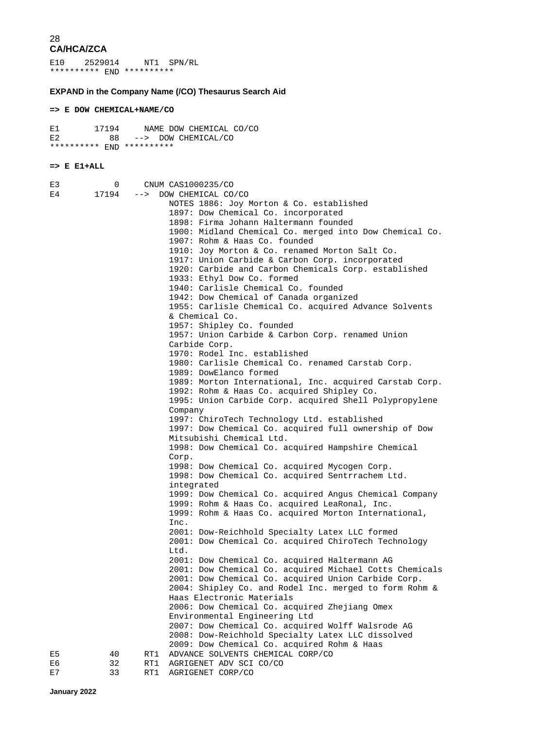E10 2529014 NT1 SPN/RL \*\*\*\*\*\*\*\*\*\* END \*\*\*\*\*\*\*\*\*\*

#### **EXPAND in the Company Name (/CO) Thesaurus Search Aid**

#### **=> E DOW CHEMICAL+NAME/CO**

| Е1                        | 17194 |  | NAME DOW CHEMICAL CO/CO |  |
|---------------------------|-------|--|-------------------------|--|
| E2                        |       |  | 88 --> DOW CHEMICAL/CO  |  |
| ********** FND ********** |       |  |                         |  |

#### **=> E E1+ALL**

| E3 | 0     |     | CNUM CAS1000235/CO                                                                  |
|----|-------|-----|-------------------------------------------------------------------------------------|
| E4 | 17194 |     | --> DOW CHEMICAL CO/CO                                                              |
|    |       |     | NOTES 1886: Joy Morton & Co. established                                            |
|    |       |     | 1897: Dow Chemical Co. incorporated                                                 |
|    |       |     | 1898: Firma Johann Haltermann founded                                               |
|    |       |     | 1900: Midland Chemical Co. merged into Dow Chemical Co.                             |
|    |       |     | 1907: Rohm & Haas Co. founded                                                       |
|    |       |     | 1910: Joy Morton & Co. renamed Morton Salt Co.                                      |
|    |       |     | 1917: Union Carbide & Carbon Corp. incorporated                                     |
|    |       |     | 1920: Carbide and Carbon Chemicals Corp. established                                |
|    |       |     | 1933: Ethyl Dow Co. formed                                                          |
|    |       |     | 1940: Carlisle Chemical Co. founded                                                 |
|    |       |     | 1942: Dow Chemical of Canada organized                                              |
|    |       |     | 1955: Carlisle Chemical Co. acquired Advance Solvents                               |
|    |       |     | & Chemical Co.                                                                      |
|    |       |     | 1957: Shipley Co. founded                                                           |
|    |       |     | 1957: Union Carbide & Carbon Corp. renamed Union                                    |
|    |       |     | Carbide Corp.                                                                       |
|    |       |     | 1970: Rodel Inc. established                                                        |
|    |       |     | 1980: Carlisle Chemical Co. renamed Carstab Corp.                                   |
|    |       |     | 1989: DowElanco formed                                                              |
|    |       |     | 1989: Morton International, Inc. acquired Carstab Corp.                             |
|    |       |     | 1992: Rohm & Haas Co. acquired Shipley Co.                                          |
|    |       |     | 1995: Union Carbide Corp. acquired Shell Polypropylene                              |
|    |       |     | Company                                                                             |
|    |       |     | 1997: ChiroTech Technology Ltd. established                                         |
|    |       |     | 1997: Dow Chemical Co. acquired full ownership of Dow                               |
|    |       |     | Mitsubishi Chemical Ltd.                                                            |
|    |       |     | 1998: Dow Chemical Co. acquired Hampshire Chemical                                  |
|    |       |     | Corp.                                                                               |
|    |       |     | 1998: Dow Chemical Co. acquired Mycogen Corp.                                       |
|    |       |     | 1998: Dow Chemical Co. acquired Sentrrachem Ltd.                                    |
|    |       |     | integrated                                                                          |
|    |       |     | 1999: Dow Chemical Co. acquired Angus Chemical Company                              |
|    |       |     | 1999: Rohm & Haas Co. acquired LeaRonal, Inc.                                       |
|    |       |     | 1999: Rohm & Haas Co. acquired Morton International,                                |
|    |       |     | Inc.                                                                                |
|    |       |     | 2001: Dow-Reichhold Specialty Latex LLC formed                                      |
|    |       |     | 2001: Dow Chemical Co. acquired ChiroTech Technology                                |
|    |       |     | Ltd.                                                                                |
|    |       |     | 2001: Dow Chemical Co. acquired Haltermann AG                                       |
|    |       |     | 2001: Dow Chemical Co. acquired Michael Cotts Chemicals                             |
|    |       |     | 2001: Dow Chemical Co. acquired Union Carbide Corp.                                 |
|    |       |     | 2004: Shipley Co. and Rodel Inc. merged to form Rohm &<br>Haas Electronic Materials |
|    |       |     | 2006: Dow Chemical Co. acquired Zhejiang Omex                                       |
|    |       |     | Environmental Engineering Ltd                                                       |
|    |       |     | 2007: Dow Chemical Co. acquired Wolff Walsrode AG                                   |
|    |       |     | 2008: Dow-Reichhold Specialty Latex LLC dissolved                                   |
|    |       |     | 2009: Dow Chemical Co. acquired Rohm & Haas                                         |
| E5 | 40    | RT1 | ADVANCE SOLVENTS CHEMICAL CORP/CO                                                   |
| E6 | 32    | RT1 | AGRIGENET ADV SCI CO/CO                                                             |
| E7 | 33    | RT1 | AGRIGENET CORP/CO                                                                   |
|    |       |     |                                                                                     |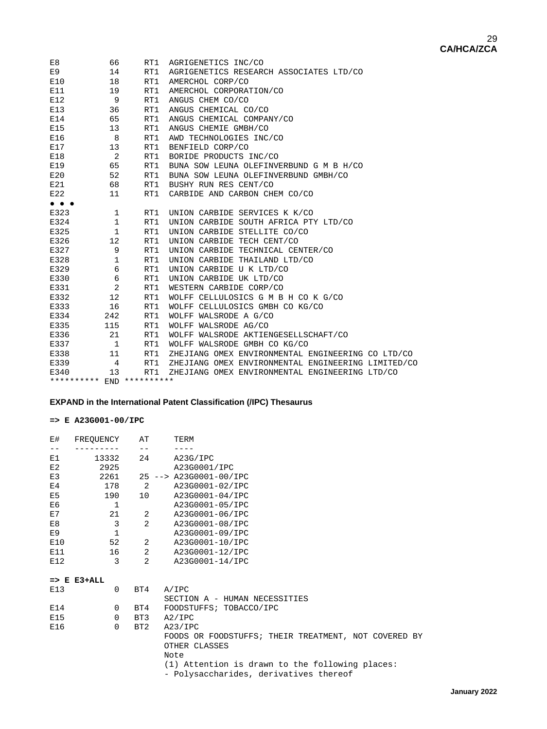| E8                                                                       | 66           | RT1 | AGRIGENETICS INC/CO                                |
|--------------------------------------------------------------------------|--------------|-----|----------------------------------------------------|
| E9                                                                       | 14           | RT1 | AGRIGENETICS RESEARCH ASSOCIATES LTD/CO            |
| E10                                                                      | 18           | RT1 | AMERCHOL CORP/CO                                   |
| E11                                                                      | 19           | RT1 | AMERCHOL CORPORATION/CO                            |
| E12                                                                      | 9            | RT1 | ANGUS CHEM CO/CO                                   |
| E13                                                                      | 36           | RT1 | ANGUS CHEMICAL CO/CO                               |
| E14                                                                      | 65           | RT1 | ANGUS CHEMICAL COMPANY/CO                          |
| E15                                                                      | 13           | RT1 | ANGUS CHEMIE GMBH/CO                               |
| E16                                                                      | 8            | RT1 | AWD TECHNOLOGIES INC/CO                            |
| E17                                                                      | 13           | RT1 | BENFIELD CORP/CO                                   |
| E18                                                                      | 2            | RT1 | BORIDE PRODUCTS INC/CO                             |
| E19                                                                      | 65           | RT1 | BUNA SOW LEUNA OLEFINVERBUND G M B H/CO            |
| E20                                                                      | 52           | RT1 | BUNA SOW LEUNA OLEFINVERBUND GMBH/CO               |
| E21                                                                      | 68           | RT1 | BUSHY RUN RES CENT/CO                              |
| E22                                                                      | 11           | RT1 | CARBIDE AND CARBON CHEM CO/CO                      |
| $\bullet\hspace{0.4mm}\bullet\hspace{0.4mm}\bullet\hspace{0.4mm}\bullet$ |              |     |                                                    |
| E323                                                                     | 1            | RT1 | UNION CARBIDE SERVICES K K/CO                      |
| E324                                                                     | $\mathbf 1$  | RT1 | UNION CARBIDE SOUTH AFRICA PTY LTD/CO              |
| E325                                                                     | $\mathbf{1}$ | RT1 | UNION CARBIDE STELLITE CO/CO                       |
| E326                                                                     | 12           | RT1 | UNION CARBIDE TECH CENT/CO                         |
| E327                                                                     | 9            | RT1 | UNION CARBIDE TECHNICAL CENTER/CO                  |
| E328                                                                     | 1            | RT1 | UNION CARBIDE THAILAND LTD/CO                      |
| E329                                                                     | 6            | RT1 | UNION CARBIDE U K LTD/CO                           |
| E330                                                                     | 6            | RT1 | UNION CARBIDE UK LTD/CO                            |
| E331                                                                     | 2            | RT1 | WESTERN CARBIDE CORP/CO                            |
| E332                                                                     | 12           | RT1 | WOLFF CELLULOSICS G M B H CO K G/CO                |
| E333                                                                     | 16           | RT1 | WOLFF CELLULOSICS GMBH CO KG/CO                    |
| E334                                                                     | 242          | RT1 | WOLFF WALSRODE A G/CO                              |
| E335                                                                     | 115          | RT1 | WOLFF WALSRODE AG/CO                               |
| E336                                                                     | 21           | RT1 | WOLFF WALSRODE AKTIENGESELLSCHAFT/CO               |
| E337                                                                     | 1            | RT1 | WOLFF WALSRODE GMBH CO KG/CO                       |
| E338                                                                     | 11           | RT1 | ZHEJIANG OMEX ENVIRONMENTAL ENGINEERING CO LTD/CO  |
| E339                                                                     | 4            | RT1 | ZHEJIANG OMEX ENVIRONMENTAL ENGINEERING LIMITED/CO |
| E340                                                                     | 13           | RT1 | ZHEJIANG OMEX ENVIRONMENTAL ENGINEERING LTD/CO     |
|                                                                          |              |     |                                                    |

\*\*\*\*\*\*\*\*\*\* END \*\*\*\*\*\*\*\*\*\*

#### **EXPAND in the International Patent Classification (/IPC) Thesaurus**

#### **=> E A23G001-00/IPC**

| <b>E#</b>      | FREOUENCY              | AT             | TERM                                                 |
|----------------|------------------------|----------------|------------------------------------------------------|
| $ -$           |                        | $ -$           |                                                      |
| E1             | 13332                  |                | 24<br>A23G/IPC                                       |
| E2             | 2925                   |                | A23G0001/IPC                                         |
| E3             | 2261                   |                | 25 --> A23G0001-00/IPC                               |
| E4             | 178                    | 2              | A23G0001-02/IPC                                      |
| E <sub>5</sub> | 190                    | 10             | A23G0001-04/IPC                                      |
| E6             | $\mathbf{1}$           |                | A23G0001-05/IPC                                      |
| E7             | 21                     |                | $2 \left( \frac{1}{2} \right)$<br>A23G0001-06/IPC    |
| E8             | 3                      |                | $\overline{2}$<br>A23G0001-08/IPC                    |
| E9             | $\mathbf{1}$           |                | A23G0001-09/IPC                                      |
| E10            | 52                     |                | $2 \left( \frac{1}{2} \right)$<br>A23G0001-10/IPC    |
| E11            | 16                     | 2              | A23G0001-12/IPC                                      |
| E12            | 3                      | $\overline{2}$ | A23G0001-14/IPC                                      |
|                | $\Rightarrow$ E E3+ALL |                |                                                      |
| E13            | $\Omega$               | BT4            | A/IPC                                                |
|                |                        |                | SECTION A - HUMAN NECESSITIES                        |
| E14            | 0                      | BT4            | FOODSTUFFS; TOBACCO/IPC                              |
| E15            | $\Omega$               | BT3            | A2/IPC                                               |
| E16            | $\Omega$               | BT2            | A23/IPC                                              |
|                |                        |                | FOODS OR FOODSTUFFS; THEIR TREATMENT, NOT COVERED BY |
|                |                        |                | OTHER CLASSES                                        |
|                |                        |                | Note                                                 |
|                |                        |                | (1) Attention is drawn to the following places:      |
|                |                        |                | - Polysaccharides, derivatives thereof               |
|                |                        |                |                                                      |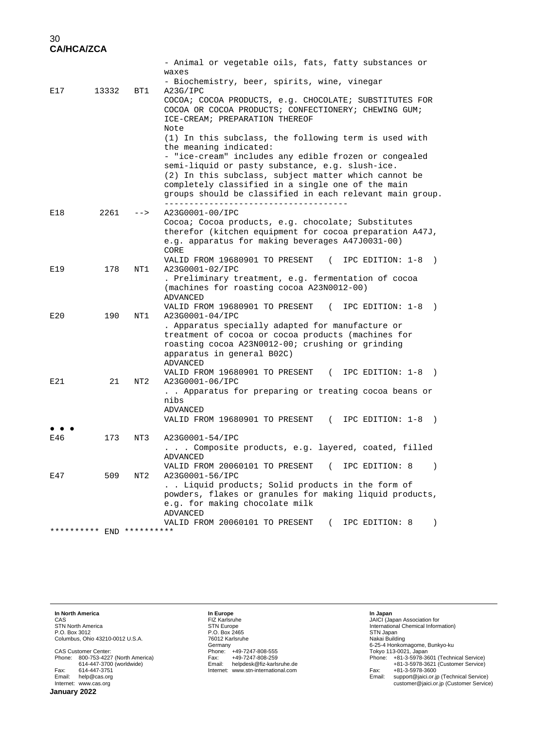|                           |       |       | - Animal or vegetable oils, fats, fatty substances or                                                    |
|---------------------------|-------|-------|----------------------------------------------------------------------------------------------------------|
|                           |       |       | waxes<br>- Biochemistry, beer, spirits, wine, vinegar                                                    |
| E17                       | 13332 | BT1   | A23G/IPC                                                                                                 |
|                           |       |       | COCOA; COCOA PRODUCTS, e.g. CHOCOLATE; SUBSTITUTES FOR                                                   |
|                           |       |       | COCOA OR COCOA PRODUCTS; CONFECTIONERY; CHEWING GUM;                                                     |
|                           |       |       | ICE-CREAM; PREPARATION THEREOF                                                                           |
|                           |       |       | Note                                                                                                     |
|                           |       |       | (1) In this subclass, the following term is used with                                                    |
|                           |       |       | the meaning indicated:                                                                                   |
|                           |       |       | - "ice-cream" includes any edible frozen or congealed<br>semi-liquid or pasty substance, e.g. slush-ice. |
|                           |       |       | (2) In this subclass, subject matter which cannot be                                                     |
|                           |       |       | completely classified in a single one of the main                                                        |
|                           |       |       | groups should be classified in each relevant main group.                                                 |
| E18                       | 2261  | $--&$ | ___________________<br>A23G0001-00/IPC                                                                   |
|                           |       |       | Cocoa; Cocoa products, e.g. chocolate; Substitutes                                                       |
|                           |       |       | therefor (kitchen equipment for cocoa preparation A47J,                                                  |
|                           |       |       | e.g. apparatus for making beverages A47J0031-00)                                                         |
|                           |       |       | CORE                                                                                                     |
|                           |       |       | VALID FROM 19680901 TO PRESENT<br>$\sqrt{2}$<br>IPC EDITION: 1-8<br>$\rightarrow$                        |
| E19                       | 178   | NT1   | A23G0001-02/IPC                                                                                          |
|                           |       |       | . Preliminary treatment, e.g. fermentation of cocoa<br>(machines for roasting cocoa A23N0012-00)         |
|                           |       |       | <b>ADVANCED</b>                                                                                          |
|                           |       |       | VALID FROM 19680901 TO PRESENT<br>IPC EDITION: 1-8<br>$\left($<br>$\rightarrow$                          |
| E20                       | 190   | NT1   | A23G0001-04/IPC                                                                                          |
|                           |       |       | . Apparatus specially adapted for manufacture or                                                         |
|                           |       |       | treatment of cocoa or cocoa products (machines for                                                       |
|                           |       |       | roasting cocoa A23N0012-00; crushing or grinding                                                         |
|                           |       |       | apparatus in general B02C)<br>ADVANCED                                                                   |
|                           |       |       | VALID FROM 19680901 TO PRESENT (<br>IPC EDITION: 1-8<br>$\rightarrow$                                    |
| E21                       | 21    | NT2   | A23G0001-06/IPC                                                                                          |
|                           |       |       | Apparatus for preparing or treating cocoa beans or                                                       |
|                           |       |       | nibs                                                                                                     |
|                           |       |       | ADVANCED                                                                                                 |
|                           |       |       | VALID FROM 19680901 TO PRESENT (IPC EDITION: 1-8<br>$\rightarrow$                                        |
| E46                       | 173   | NT3   | A23G0001-54/IPC                                                                                          |
|                           |       |       | Composite products, e.g. layered, coated, filled                                                         |
|                           |       |       | ADVANCED                                                                                                 |
| E47                       | 509   | NT2   | VALID FROM 20060101 TO PRESENT (<br>IPC EDITION: 8<br>$\rightarrow$<br>A23G0001-56/IPC                   |
|                           |       |       | Liquid products; Solid products in the form of                                                           |
|                           |       |       | powders, flakes or granules for making liquid products,                                                  |
|                           |       |       | e.g. for making chocolate milk                                                                           |
|                           |       |       | <b>ADVANCED</b>                                                                                          |
|                           |       |       | VALID FROM 20060101 TO PRESENT<br>$\left($<br>IPC EDITION: 8<br>$\lambda$                                |
| ********** END ********** |       |       |                                                                                                          |

**In North America**

CAS STN North America P.O. Box 3012 Columbus, Ohio 43210-0012 U.S.A.

CAS Customer Center: Phone: 800-753-4227 (North America) 614-447-3700 (worldwide) Fax: 614-447-3751 Email: help@cas.org Internet: www.cas.org

**In Europe<br>FIZ** Karlsruhe<br>STN Europe<br>P.O. Box 2465<br>76012 Karlsruhe Germany Phone: +49-7247-808-555 Fax: +49-7247-808-259 Email: helpdesk@fiz-karlsruhe.de Internet: www.stn-international.com **In Japan** JAICI (Japan Association for<br>International Chemical Information)<br>STN Japan<br>STN Japan<br>17 byo 113-0021, Japan<br>Tokyo 113-0221, Japan<br>Phone: +81-3-5978-3601 (Technical Service)<br>Fax: +81-3-5978-3601 (Customer Service)<br>Fax